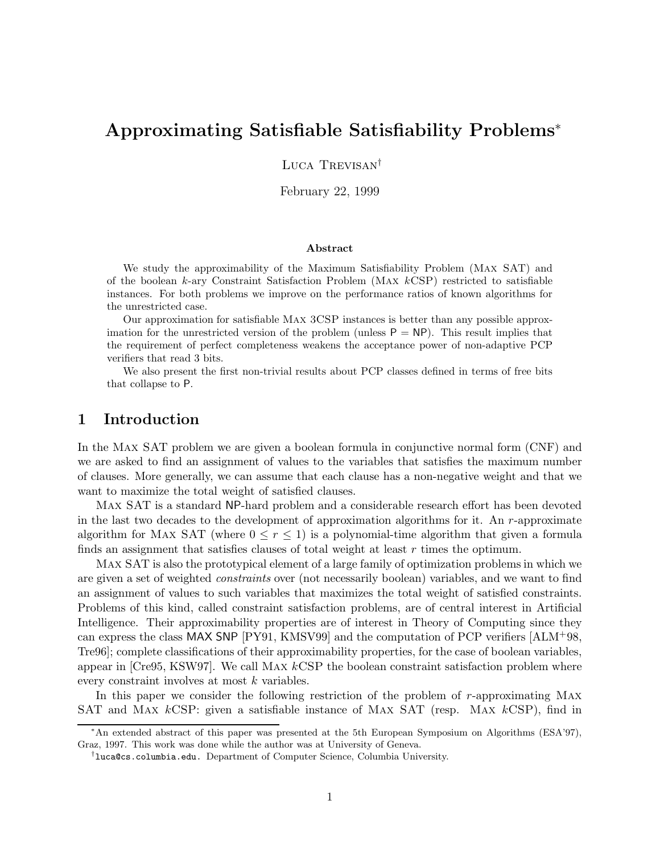# Approximating Satisfiable Satisfiability Problems<sup>∗</sup>

Luca Trevisan<sup>†</sup>

February 22, 1999

#### Abstract

We study the approximability of the Maximum Satisfiability Problem (Max SAT) and of the boolean k-ary Constraint Satisfaction Problem (MAX  $kCSP$ ) restricted to satisfiable instances. For both problems we improve on the performance ratios of known algorithms for the unrestricted case.

Our approximation for satisfiable Max 3CSP instances is better than any possible approximation for the unrestricted version of the problem (unless  $P = NP$ ). This result implies that the requirement of perfect completeness weakens the acceptance power of non-adaptive PCP verifiers that read 3 bits.

We also present the first non-trivial results about PCP classes defined in terms of free bits that collapse to P.

## 1 Introduction

In the Max SAT problem we are given a boolean formula in conjunctive normal form (CNF) and we are asked to find an assignment of values to the variables that satisfies the maximum number of clauses. More generally, we can assume that each clause has a non-negative weight and that we want to maximize the total weight of satisfied clauses.

Max SAT is a standard NP-hard problem and a considerable research effort has been devoted in the last two decades to the development of approximation algorithms for it. An  $r$ -approximate algorithm for MAX SAT (where  $0 \leq r \leq 1$ ) is a polynomial-time algorithm that given a formula finds an assignment that satisfies clauses of total weight at least  $r$  times the optimum.

Max SAT is also the prototypical element of a large family of optimization problems in which we are given a set of weighted constraints over (not necessarily boolean) variables, and we want to find an assignment of values to such variables that maximizes the total weight of satisfied constraints. Problems of this kind, called constraint satisfaction problems, are of central interest in Artificial Intelligence. Their approximability properties are of interest in Theory of Computing since they can express the class MAX SNP [PY91, KMSV99] and the computation of PCP verifiers [ALM+98, Tre96]; complete classifications of their approximability properties, for the case of boolean variables, appear in  $[Cre95, KSW97]$ . We call MAX  $kCSP$  the boolean constraint satisfaction problem where every constraint involves at most k variables.

In this paper we consider the following restriction of the problem of r-approximating Max SAT and Max kCSP: given a satisfiable instance of Max SAT (resp. Max kCSP), find in

<sup>∗</sup>An extended abstract of this paper was presented at the 5th European Symposium on Algorithms (ESA'97), Graz, 1997. This work was done while the author was at University of Geneva.

<sup>†</sup> luca@cs.columbia.edu. Department of Computer Science, Columbia University.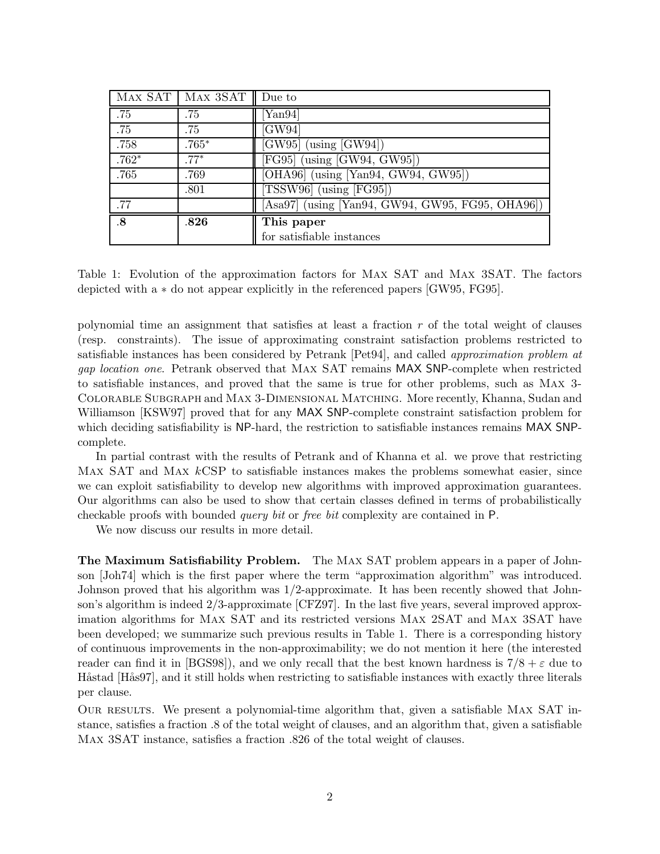|                 | MAX SAT   MAX 3SAT $\parallel$ Due to |                                                    |
|-----------------|---------------------------------------|----------------------------------------------------|
| .75             | .75                                   | Yan94                                              |
| .75             | .75                                   | [GW94]                                             |
| .758            | $.765*$                               | $\overline{\text{[GW95]}}$ (using $\text{[GW94]})$ |
| $.762*$         | $.77*$                                | [FG95] (using $[\overline{\mathrm{GW94, GW95}}]$ ) |
| .765            | .769                                  | [OHA96] (using [Yan94, GW94, GW95])                |
|                 | .801                                  | [TSSW96] $(using$ [FG95])                          |
| .77             |                                       | [Asa97] (using [Yan94, GW94, GW95, FG95, OHA96])   |
| $\overline{.8}$ | .826                                  | This paper                                         |
|                 |                                       | for satisfiable instances                          |

Table 1: Evolution of the approximation factors for Max SAT and Max 3SAT. The factors depicted with a ∗ do not appear explicitly in the referenced papers [GW95, FG95].

polynomial time an assignment that satisfies at least a fraction  $r$  of the total weight of clauses (resp. constraints). The issue of approximating constraint satisfaction problems restricted to satisfiable instances has been considered by Petrank [Pet94], and called approximation problem at gap location one. Petrank observed that Max SAT remains MAX SNP-complete when restricted to satisfiable instances, and proved that the same is true for other problems, such as Max 3- Colorable Subgraph and Max 3-Dimensional Matching. More recently, Khanna, Sudan and Williamson [KSW97] proved that for any MAX SNP-complete constraint satisfaction problem for which deciding satisfiability is NP-hard, the restriction to satisfiable instances remains MAX SNPcomplete.

In partial contrast with the results of Petrank and of Khanna et al. we prove that restricting MAX SAT and MAX kCSP to satisfiable instances makes the problems somewhat easier, since we can exploit satisfiability to develop new algorithms with improved approximation guarantees. Our algorithms can also be used to show that certain classes defined in terms of probabilistically checkable proofs with bounded query bit or free bit complexity are contained in P.

We now discuss our results in more detail.

The Maximum Satisfiability Problem. The Max SAT problem appears in a paper of Johnson [Joh74] which is the first paper where the term "approximation algorithm" was introduced. Johnson proved that his algorithm was 1/2-approximate. It has been recently showed that Johnson's algorithm is indeed 2/3-approximate [CFZ97]. In the last five years, several improved approximation algorithms for Max SAT and its restricted versions Max 2SAT and Max 3SAT have been developed; we summarize such previous results in Table 1. There is a corresponding history of continuous improvements in the non-approximability; we do not mention it here (the interested reader can find it in [BGS98]), and we only recall that the best known hardness is  $7/8 + \varepsilon$  due to Håstad [Hås97], and it still holds when restricting to satisfiable instances with exactly three literals per clause.

OUR RESULTS. We present a polynomial-time algorithm that, given a satisfiable MAX SAT instance, satisfies a fraction .8 of the total weight of clauses, and an algorithm that, given a satisfiable Max 3SAT instance, satisfies a fraction .826 of the total weight of clauses.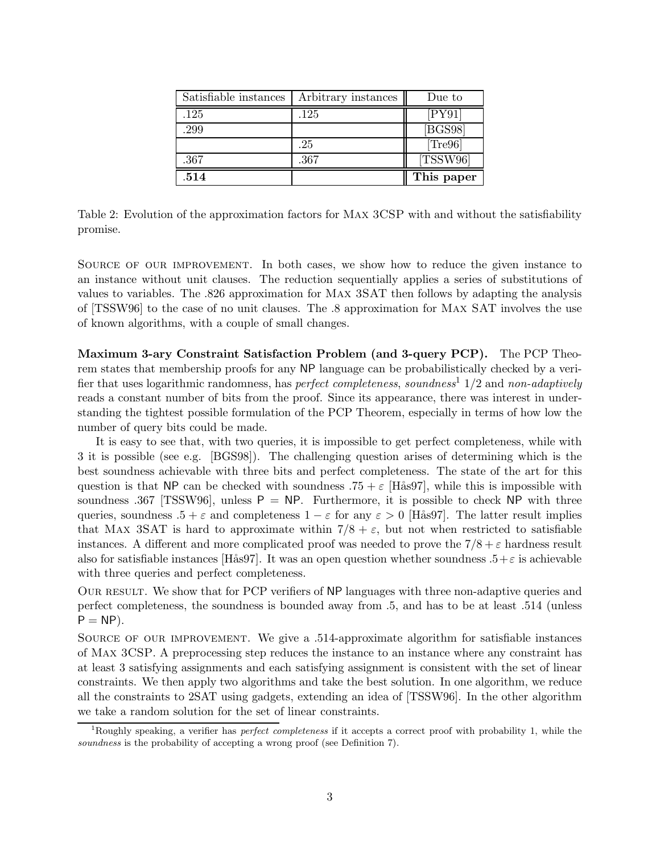| Satisfiable instances | Arbitrary instances | Due to     |
|-----------------------|---------------------|------------|
| .125                  | .125                | [PY91]     |
| .299                  |                     | [BGS98]    |
|                       | .25                 | [Tree96]   |
| .367                  | .367                | [TSSW96]   |
| .514                  |                     | This paper |

Table 2: Evolution of the approximation factors for Max 3CSP with and without the satisfiability promise.

Source of our improvement. In both cases, we show how to reduce the given instance to an instance without unit clauses. The reduction sequentially applies a series of substitutions of values to variables. The .826 approximation for Max 3SAT then follows by adapting the analysis of [TSSW96] to the case of no unit clauses. The .8 approximation for Max SAT involves the use of known algorithms, with a couple of small changes.

Maximum 3-ary Constraint Satisfaction Problem (and 3-query PCP). The PCP Theorem states that membership proofs for any NP language can be probabilistically checked by a verifier that uses logarithmic randomness, has *perfect completeness*, soundness<sup>1</sup> 1/2 and non-adaptively reads a constant number of bits from the proof. Since its appearance, there was interest in understanding the tightest possible formulation of the PCP Theorem, especially in terms of how low the number of query bits could be made.

It is easy to see that, with two queries, it is impossible to get perfect completeness, while with 3 it is possible (see e.g. [BGS98]). The challenging question arises of determining which is the best soundness achievable with three bits and perfect completeness. The state of the art for this question is that NP can be checked with soundness  $.75 + \varepsilon$  [Hås97], while this is impossible with soundness .367 [TSSW96], unless  $P = NP$ . Furthermore, it is possible to check NP with three queries, soundness  $.5 + \varepsilon$  and completeness  $1 - \varepsilon$  for any  $\varepsilon > 0$  [Hås97]. The latter result implies that MAX 3SAT is hard to approximate within  $7/8 + \varepsilon$ , but not when restricted to satisfiable instances. A different and more complicated proof was needed to prove the  $7/8 + \varepsilon$  hardness result also for satisfiable instances [Hås97]. It was an open question whether soundness  $.5+\varepsilon$  is achievable with three queries and perfect completeness.

OUR RESULT. We show that for PCP verifiers of NP languages with three non-adaptive queries and perfect completeness, the soundness is bounded away from .5, and has to be at least .514 (unless  $P = NP$ ).

Source of our improvement. We give a .514-approximate algorithm for satisfiable instances of Max 3CSP. A preprocessing step reduces the instance to an instance where any constraint has at least 3 satisfying assignments and each satisfying assignment is consistent with the set of linear constraints. We then apply two algorithms and take the best solution. In one algorithm, we reduce all the constraints to 2SAT using gadgets, extending an idea of [TSSW96]. In the other algorithm we take a random solution for the set of linear constraints.

<sup>&</sup>lt;sup>1</sup>Roughly speaking, a verifier has *perfect completeness* if it accepts a correct proof with probability 1, while the soundness is the probability of accepting a wrong proof (see Definition 7).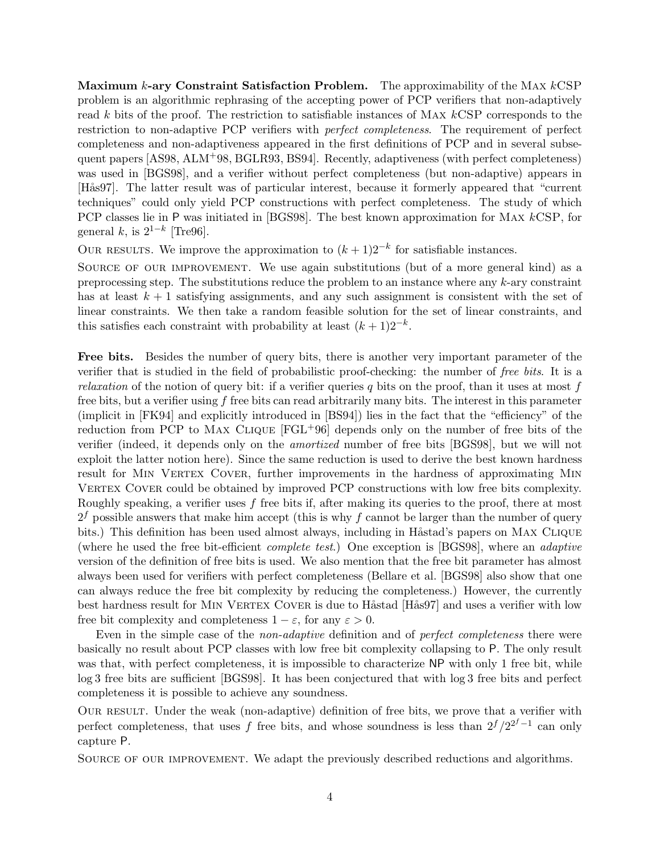Maximum  $k$ -ary Constraint Satisfaction Problem. The approximability of the MAX  $kCSP$ problem is an algorithmic rephrasing of the accepting power of PCP verifiers that non-adaptively read k bits of the proof. The restriction to satisfiable instances of Max kCSP corresponds to the restriction to non-adaptive PCP verifiers with perfect completeness. The requirement of perfect completeness and non-adaptiveness appeared in the first definitions of PCP and in several subsequent papers [AS98, ALM+98, BGLR93, BS94]. Recently, adaptiveness (with perfect completeness) was used in [BGS98], and a verifier without perfect completeness (but non-adaptive) appears in [Hås97]. The latter result was of particular interest, because it formerly appeared that "current" techniques" could only yield PCP constructions with perfect completeness. The study of which PCP classes lie in P was initiated in [BGS98]. The best known approximation for Max kCSP, for general  $k$ , is  $2^{1-k}$  [Tre96].

OUR RESULTS. We improve the approximation to  $(k+1)2^{-k}$  for satisfiable instances.

SOURCE OF OUR IMPROVEMENT. We use again substitutions (but of a more general kind) as a preprocessing step. The substitutions reduce the problem to an instance where any k-ary constraint has at least  $k + 1$  satisfying assignments, and any such assignment is consistent with the set of linear constraints. We then take a random feasible solution for the set of linear constraints, and this satisfies each constraint with probability at least  $(k + 1)2^{-k}$ .

Free bits. Besides the number of query bits, there is another very important parameter of the verifier that is studied in the field of probabilistic proof-checking: the number of free bits. It is a *relaxation* of the notion of query bit: if a verifier queries q bits on the proof, than it uses at most f free bits, but a verifier using  $f$  free bits can read arbitrarily many bits. The interest in this parameter (implicit in [FK94] and explicitly introduced in [BS94]) lies in the fact that the "efficiency" of the reduction from PCP to Max Clique [FGL+96] depends only on the number of free bits of the verifier (indeed, it depends only on the amortized number of free bits [BGS98], but we will not exploit the latter notion here). Since the same reduction is used to derive the best known hardness result for MIN VERTEX COVER, further improvements in the hardness of approximating MIN VERTEX COVER could be obtained by improved PCP constructions with low free bits complexity. Roughly speaking, a verifier uses  $f$  free bits if, after making its queries to the proof, there at most  $2<sup>f</sup>$  possible answers that make him accept (this is why f cannot be larger than the number of query bits.) This definition has been used almost always, including in Håstad's papers on MAX CLIQUE (where he used the free bit-efficient complete test.) One exception is [BGS98], where an adaptive version of the definition of free bits is used. We also mention that the free bit parameter has almost always been used for verifiers with perfect completeness (Bellare et al. [BGS98] also show that one can always reduce the free bit complexity by reducing the completeness.) However, the currently best hardness result for MIN VERTEX COVER is due to Håstad [Hås97] and uses a verifier with low free bit complexity and completeness  $1 - \varepsilon$ , for any  $\varepsilon > 0$ .

Even in the simple case of the *non-adaptive* definition and of *perfect completeness* there were basically no result about PCP classes with low free bit complexity collapsing to P. The only result was that, with perfect completeness, it is impossible to characterize NP with only 1 free bit, while log 3 free bits are sufficient [BGS98]. It has been conjectured that with log 3 free bits and perfect completeness it is possible to achieve any soundness.

OUR RESULT. Under the weak (non-adaptive) definition of free bits, we prove that a verifier with perfect completeness, that uses f free bits, and whose soundness is less than  $2^f / 2^{2^f - 1}$  can only capture P.

Source of our improvement. We adapt the previously described reductions and algorithms.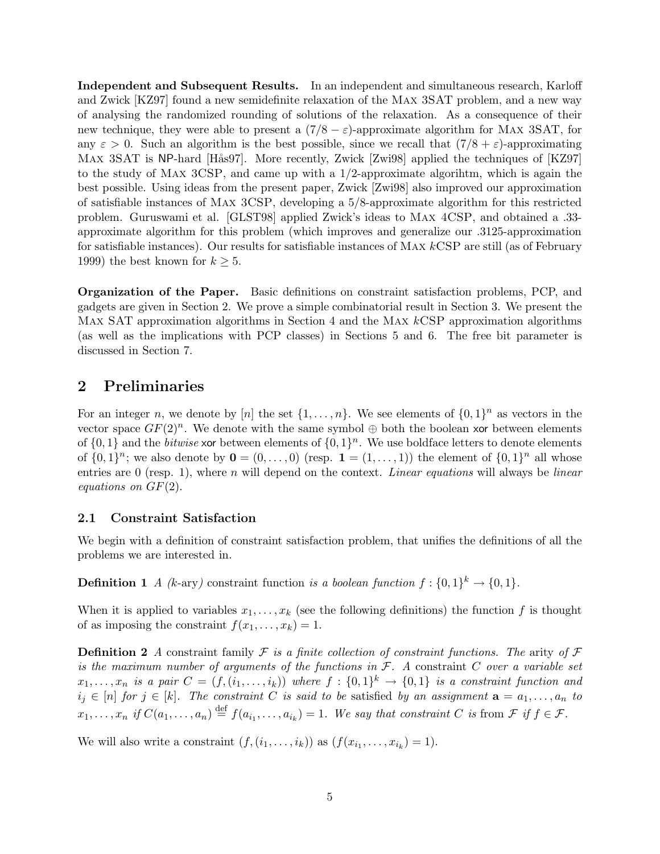Independent and Subsequent Results. In an independent and simultaneous research, Karloff and Zwick [KZ97] found a new semidefinite relaxation of the Max 3SAT problem, and a new way of analysing the randomized rounding of solutions of the relaxation. As a consequence of their new technique, they were able to present a  $(7/8 - \varepsilon)$ -approximate algorithm for MAX 3SAT, for any  $\varepsilon > 0$ . Such an algorithm is the best possible, since we recall that  $(7/8 + \varepsilon)$ -approximating MAX 3SAT is NP-hard [Hås97]. More recently, Zwick [Zwi98] applied the techniques of [KZ97] to the study of Max 3CSP, and came up with a 1/2-approximate algorihtm, which is again the best possible. Using ideas from the present paper, Zwick [Zwi98] also improved our approximation of satisfiable instances of Max 3CSP, developing a 5/8-approximate algorithm for this restricted problem. Guruswami et al. [GLST98] applied Zwick's ideas to Max 4CSP, and obtained a .33 approximate algorithm for this problem (which improves and generalize our .3125-approximation for satisfiable instances). Our results for satisfiable instances of Max kCSP are still (as of February 1999) the best known for  $k \geq 5$ .

Organization of the Paper. Basic definitions on constraint satisfaction problems, PCP, and gadgets are given in Section 2. We prove a simple combinatorial result in Section 3. We present the Max SAT approximation algorithms in Section 4 and the Max kCSP approximation algorithms (as well as the implications with PCP classes) in Sections 5 and 6. The free bit parameter is discussed in Section 7.

## 2 Preliminaries

For an integer n, we denote by [n] the set  $\{1,\ldots,n\}$ . We see elements of  $\{0,1\}^n$  as vectors in the vector space  $GF(2)^n$ . We denote with the same symbol  $\oplus$  both the boolean xor between elements of  $\{0,1\}$  and the *bitwise* xor between elements of  $\{0,1\}^n$ . We use boldface letters to denote elements of  $\{0,1\}^n$ ; we also denote by  $\mathbf{0} = (0,\ldots,0)$  (resp.  $\mathbf{1} = (1,\ldots,1)$ ) the element of  $\{0,1\}^n$  all whose entries are 0 (resp. 1), where n will depend on the context. Linear equations will always be linear equations on GF(2).

### 2.1 Constraint Satisfaction

We begin with a definition of constraint satisfaction problem, that unifies the definitions of all the problems we are interested in.

**Definition 1** A (k-ary) constraint function is a boolean function  $f: \{0,1\}^k \to \{0,1\}.$ 

When it is applied to variables  $x_1, \ldots, x_k$  (see the following definitions) the function f is thought of as imposing the constraint  $f(x_1,...,x_k) = 1$ .

**Definition 2** A constraint family  $\mathcal F$  is a finite collection of constraint functions. The arity of  $\mathcal F$ is the maximum number of arguments of the functions in  $\mathcal{F}$ . A constraint C over a variable set  $x_1,\ldots,x_n$  is a pair  $C=(f,(i_1,\ldots,i_k))$  where  $f:\{0,1\}^k\to\{0,1\}$  is a constraint function and  $i_j \in [n]$  for  $j \in [k]$ . The constraint C is said to be satisfied by an assignment  $\mathbf{a} = a_1, \ldots, a_n$  to  $x_1, \ldots, x_n$  if  $C(a_1, \ldots, a_n) \stackrel{\text{def}}{=} f(a_{i_1}, \ldots, a_{i_k}) = 1$ . We say that constraint C is from  $\mathcal F$  if  $f \in \mathcal F$ .

We will also write a constraint  $(f, (i_1, \ldots, i_k))$  as  $(f(x_{i_1}, \ldots, x_{i_k}) = 1)$ .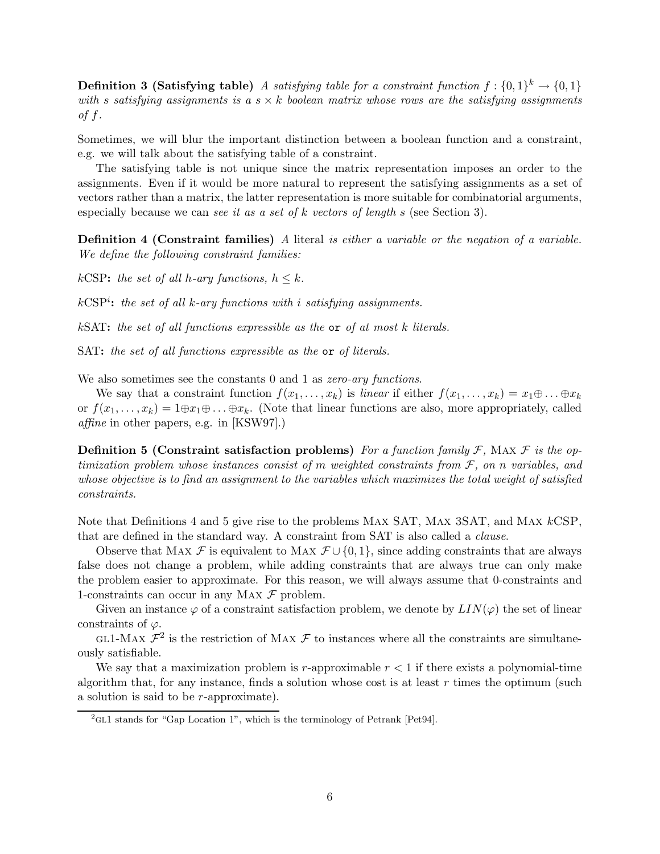**Definition 3 (Satisfying table)** A satisfying table for a constraint function  $f: \{0,1\}^k \to \{0,1\}$ with s satisfying assignments is a  $s \times k$  boolean matrix whose rows are the satisfying assignments of  $f$ .

Sometimes, we will blur the important distinction between a boolean function and a constraint, e.g. we will talk about the satisfying table of a constraint.

The satisfying table is not unique since the matrix representation imposes an order to the assignments. Even if it would be more natural to represent the satisfying assignments as a set of vectors rather than a matrix, the latter representation is more suitable for combinatorial arguments, especially because we can see it as a set of  $k$  vectors of length s (see Section 3).

**Definition 4 (Constraint families)** A literal is either a variable or the negation of a variable. We define the following constraint families:

kCSP: the set of all h-ary functions,  $h \leq k$ .

 $kCSP<sup>i</sup>$ : the set of all k-ary functions with i satisfying assignments.

 $k<sub>SAT</sub>$ : the set of all functions expressible as the  $\alpha$  of at most k literals.

SAT: the set of all functions expressible as the or of literals.

We also sometimes see the constants 0 and 1 as *zero-ary functions*.

We say that a constraint function  $f(x_1,...,x_k)$  is linear if either  $f(x_1,...,x_k) = x_1 \oplus ... \oplus x_k$ or  $f(x_1,...,x_k) = 1 \oplus x_1 \oplus ... \oplus x_k$ . (Note that linear functions are also, more appropriately, called affine in other papers, e.g. in [KSW97].)

**Definition 5 (Constraint satisfaction problems)** For a function family F, MAX F is the optimization problem whose instances consist of m weighted constraints from  $\mathcal F$ , on n variables, and whose objective is to find an assignment to the variables which maximizes the total weight of satisfied constraints.

Note that Definitions 4 and 5 give rise to the problems Max SAT, Max 3SAT, and Max kCSP, that are defined in the standard way. A constraint from SAT is also called a clause.

Observe that Max F is equivalent to Max  $\mathcal{F} \cup \{0,1\}$ , since adding constraints that are always false does not change a problem, while adding constraints that are always true can only make the problem easier to approximate. For this reason, we will always assume that 0-constraints and 1-constraints can occur in any MAX  $\mathcal F$  problem.

Given an instance  $\varphi$  of a constraint satisfaction problem, we denote by  $LIN(\varphi)$  the set of linear constraints of  $\varphi$ .

GL1-MAX  $\mathcal{F}^2$  is the restriction of MAX  $\mathcal F$  to instances where all the constraints are simultaneously satisfiable.

We say that a maximization problem is  $r$ -approximable  $r < 1$  if there exists a polynomial-time algorithm that, for any instance, finds a solution whose cost is at least  $r$  times the optimum (such a solution is said to be r-approximate).

<sup>&</sup>lt;sup>2</sup>GL1 stands for "Gap Location 1", which is the terminology of Petrank [Pet94].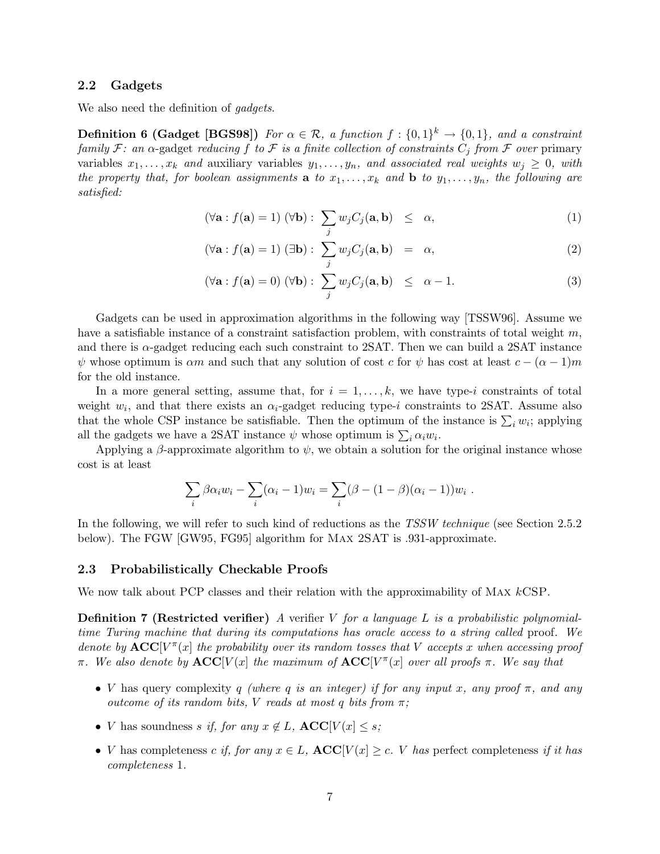### 2.2 Gadgets

We also need the definition of *gadgets*.

**Definition 6 (Gadget [BGS98])** For  $\alpha \in \mathcal{R}$ , a function  $f: \{0,1\}^k \to \{0,1\}$ , and a constraint family F: an  $\alpha$ -gadget reducing f to F is a finite collection of constraints  $C_i$  from F over primary variables  $x_1, \ldots, x_k$  and auxiliary variables  $y_1, \ldots, y_n$ , and associated real weights  $w_j \geq 0$ , with the property that, for boolean assignments **a** to  $x_1, \ldots, x_k$  and **b** to  $y_1, \ldots, y_n$ , the following are satisfied:

$$
(\forall \mathbf{a} : f(\mathbf{a}) = 1) \ (\forall \mathbf{b}) : \ \sum_{j} w_j C_j(\mathbf{a}, \mathbf{b}) \ \leq \ \alpha,
$$
 (1)

$$
(\forall \mathbf{a} : f(\mathbf{a}) = 1) (\exists \mathbf{b}) : \sum_{j} w_{j} C_{j}(\mathbf{a}, \mathbf{b}) = \alpha,
$$
 (2)

$$
(\forall \mathbf{a} : f(\mathbf{a}) = 0) \ (\forall \mathbf{b}) : \ \sum_{j} w_j C_j(\mathbf{a}, \mathbf{b}) \ \leq \ \alpha - 1. \tag{3}
$$

Gadgets can be used in approximation algorithms in the following way [TSSW96]. Assume we have a satisfiable instance of a constraint satisfaction problem, with constraints of total weight  $m$ , and there is  $\alpha$ -gadget reducing each such constraint to 2SAT. Then we can build a 2SAT instance  $\psi$  whose optimum is  $\alpha m$  and such that any solution of cost c for  $\psi$  has cost at least  $c - (\alpha - 1)m$ for the old instance.

In a more general setting, assume that, for  $i = 1, \ldots, k$ , we have type-i constraints of total weight  $w_i$ , and that there exists an  $\alpha_i$ -gadget reducing type-i constraints to 2SAT. Assume also that the whole CSP instance be satisfiable. Then the optimum of the instance is  $\sum_i w_i$ ; applying all the gadgets we have a 2SAT instance  $\psi$  whose optimum is  $\sum_i \alpha_i w_i$ .

Applying a  $\beta$ -approximate algorithm to  $\psi$ , we obtain a solution for the original instance whose cost is at least

$$
\sum_i \beta \alpha_i w_i - \sum_i (\alpha_i - 1) w_i = \sum_i (\beta - (1 - \beta)(\alpha_i - 1)) w_i.
$$

In the following, we will refer to such kind of reductions as the TSSW technique (see Section 2.5.2) below). The FGW [GW95, FG95] algorithm for Max 2SAT is .931-approximate.

#### 2.3 Probabilistically Checkable Proofs

We now talk about PCP classes and their relation with the approximability of MAX  $k$ CSP.

**Definition 7 (Restricted verifier)** A verifier V for a language L is a probabilistic polynomialtime Turing machine that during its computations has oracle access to a string called proof. We denote by  $\mathbf{ACC}[V^{\pi}(x)]$  the probability over its random tosses that V accepts x when accessing proof π. We also denote by  $\mathbf{ACC}[V(x)]$  the maximum of  $\mathbf{ACC}[V^\pi(x)]$  over all proofs  $\pi$ . We say that

- V has query complexity q (where q is an integer) if for any input x, any proof  $\pi$ , and any outcome of its random bits, V reads at most q bits from  $\pi$ ;
- *V* has soundness s if, for any  $x \notin L$ ,  $\text{ACC}[V(x] \leq s;$
- V has completeness c if, for any  $x \in L$ ,  $\mathbf{ACC}[V(x] \ge c]$ . V has perfect completeness if it has completeness 1.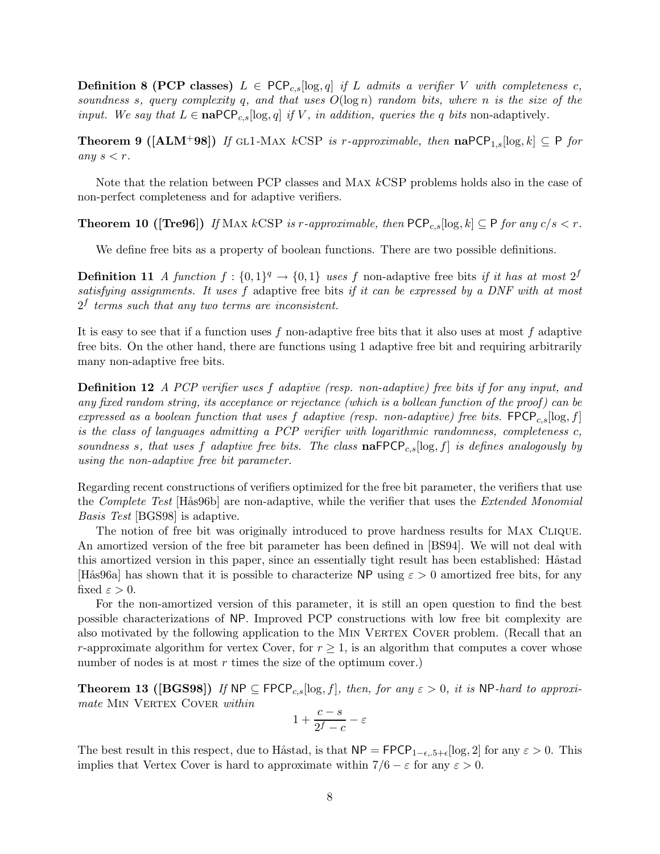**Definition 8 (PCP classes)**  $L \in \text{PCP}_{c,s}[\log,q]$  if L admits a verifier V with completeness c, soundness s, query complexity q, and that uses  $O(\log n)$  random bits, where n is the size of the input. We say that  $L \in \textbf{naPCP}_{c,s}[\log q]$  if V, in addition, queries the q bits non-adaptively.

**Theorem 9** ([ALM<sup>+</sup>98]) If GL1-MAX kCSP is r-approximable, then  $\text{naPCP}_{1,s}[\log,k] \subseteq P$  for any  $s < r$ .

Note that the relation between PCP classes and Max kCSP problems holds also in the case of non-perfect completeness and for adaptive verifiers.

**Theorem 10 ([Tre96])** If MAX kCSP is r-approximable, then  $PCP_{c,s}[\log,k] \subseteq P$  for any  $c/s < r$ .

We define free bits as a property of boolean functions. There are two possible definitions.

**Definition 11** A function  $f: \{0,1\}^q \to \{0,1\}$  uses f non-adaptive free bits if it has at most  $2^f$ satisfying assignments. It uses f adaptive free bits if it can be expressed by a DNF with at most  $2<sup>f</sup>$  terms such that any two terms are inconsistent.

It is easy to see that if a function uses f non-adaptive free bits that it also uses at most f adaptive free bits. On the other hand, there are functions using 1 adaptive free bit and requiring arbitrarily many non-adaptive free bits.

**Definition 12** A PCP verifier uses f adaptive (resp. non-adaptive) free bits if for any input, and any fixed random string, its acceptance or rejectance (which is a bollean function of the proof) can be expressed as a boolean function that uses f adaptive (resp. non-adaptive) free bits. FPCP<sub>c,s</sub>[log,f] is the class of languages admitting a PCP verifier with logarithmic randomness, completeness  $c$ , soundness s, that uses f adaptive free bits. The class  $\textsf{naFPCP}_{c,s}[\log,f]$  is defines analogously by using the non-adaptive free bit parameter.

Regarding recent constructions of verifiers optimized for the free bit parameter, the verifiers that use the *Complete Test* [Hås96b] are non-adaptive, while the verifier that uses the *Extended Monomial* Basis Test [BGS98] is adaptive.

The notion of free bit was originally introduced to prove hardness results for Max Clique. An amortized version of the free bit parameter has been defined in [BS94]. We will not deal with this amortized version in this paper, since an essentially tight result has been established: Håstad [Hås96a] has shown that it is possible to characterize NP using  $\varepsilon > 0$  amortized free bits, for any fixed  $\varepsilon > 0$ .

For the non-amortized version of this parameter, it is still an open question to find the best possible characterizations of NP. Improved PCP constructions with low free bit complexity are also motivated by the following application to the MIN VERTEX COVER problem. (Recall that an r-approximate algorithm for vertex Cover, for  $r > 1$ , is an algorithm that computes a cover whose number of nodes is at most  $r$  times the size of the optimum cover.)

**Theorem 13 ([BGS98])** If  $NP \subseteq FPCP_{c,s}[\log, f]$ , then, for any  $\varepsilon > 0$ , it is NP-hard to approximate MIN VERTEX COVER within

$$
1+\frac{c-s}{2^f-c}-\varepsilon
$$

The best result in this respect, due to Håstad, is that  $NP = FPCP_{1-\epsilon,5+\epsilon}[\log, 2]$  for any  $\varepsilon > 0$ . This implies that Vertex Cover is hard to approximate within  $7/6 - \varepsilon$  for any  $\varepsilon > 0$ .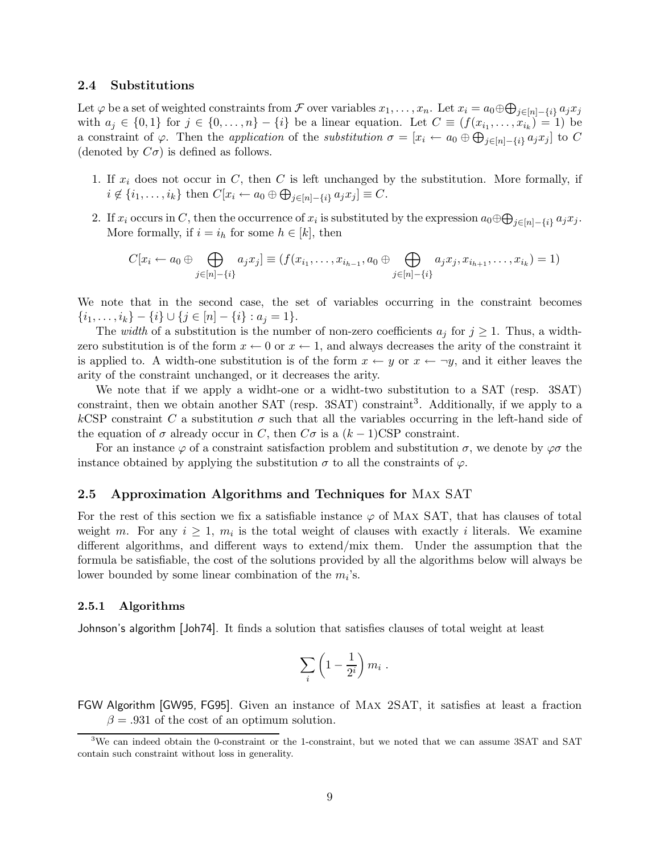### 2.4 Substitutions

Let  $\varphi$  be a set of weighted constraints from  $\mathcal F$  over variables  $x_1,\ldots,x_n$ . Let  $x_i=a_0\oplus\bigoplus_{j\in[n]-\{i\}}a_jx_j$ with  $a_j \in \{0,1\}$  for  $j \in \{0,\ldots,n\} - \{i\}$  be a linear equation. Let  $C \equiv (f(x_{i_1},\ldots,x_{i_k}) = 1)$  be a constraint of  $\varphi$ . Then the *application* of the *substitution*  $\sigma = [x_i \leftarrow a_0 \oplus \bigoplus_{j \in [n] - \{i\}} a_j x_j]$  to C (denoted by  $C\sigma$ ) is defined as follows.

- 1. If  $x_i$  does not occur in C, then C is left unchanged by the substitution. More formally, if  $i \notin \{i_1, \ldots, i_k\}$  then  $C[x_i \leftarrow a_0 \oplus \bigoplus_{j \in [n] - \{i\}} a_j x_j] \equiv C.$
- 2. If  $x_i$  occurs in C, then the occurrence of  $x_i$  is substituted by the expression  $a_0 \oplus \bigoplus_{j \in [n] \{i\}} a_j x_j$ . More formally, if  $i = i_h$  for some  $h \in [k]$ , then

$$
C[x_i \leftarrow a_0 \oplus \bigoplus_{j \in [n] - \{i\}} a_j x_j] \equiv (f(x_{i_1}, \dots, x_{i_{h-1}}, a_0 \oplus \bigoplus_{j \in [n] - \{i\}} a_j x_j, x_{i_{h+1}}, \dots, x_{i_k}) = 1)
$$

We note that in the second case, the set of variables occurring in the constraint becomes  $\{i_1,\ldots,i_k\} - \{i\} \cup \{j \in [n] - \{i\} : a_j = 1\}.$ 

The *width* of a substitution is the number of non-zero coefficients  $a_j$  for  $j \geq 1$ . Thus, a widthzero substitution is of the form  $x \leftarrow 0$  or  $x \leftarrow 1$ , and always decreases the arity of the constraint it is applied to. A width-one substitution is of the form  $x \leftarrow y$  or  $x \leftarrow \neg y$ , and it either leaves the arity of the constraint unchanged, or it decreases the arity.

We note that if we apply a widht-one or a widht-two substitution to a SAT (resp. 3SAT) constraint, then we obtain another SAT (resp.  $3SAT$ ) constraint<sup>3</sup>. Additionally, if we apply to a kCSP constraint C a substitution  $\sigma$  such that all the variables occurring in the left-hand side of the equation of  $\sigma$  already occur in C, then  $C\sigma$  is a  $(k-1)CSP$  constraint.

For an instance  $\varphi$  of a constraint satisfaction problem and substitution  $\sigma$ , we denote by  $\varphi\sigma$  the instance obtained by applying the substitution  $\sigma$  to all the constraints of  $\varphi$ .

### 2.5 Approximation Algorithms and Techniques for Max SAT

For the rest of this section we fix a satisfiable instance  $\varphi$  of MAX SAT, that has clauses of total weight m. For any  $i \geq 1$ ,  $m_i$  is the total weight of clauses with exactly i literals. We examine different algorithms, and different ways to extend/mix them. Under the assumption that the formula be satisfiable, the cost of the solutions provided by all the algorithms below will always be lower bounded by some linear combination of the  $m_i$ 's.

#### 2.5.1 Algorithms

Johnson's algorithm [Joh74]. It finds a solution that satisfies clauses of total weight at least

$$
\sum_i \left(1 - \frac{1}{2^i}\right) m_i \; .
$$

FGW Algorithm [GW95, FG95]. Given an instance of Max 2SAT, it satisfies at least a fraction  $\beta = .931$  of the cost of an optimum solution.

<sup>3</sup>We can indeed obtain the 0-constraint or the 1-constraint, but we noted that we can assume 3SAT and SAT contain such constraint without loss in generality.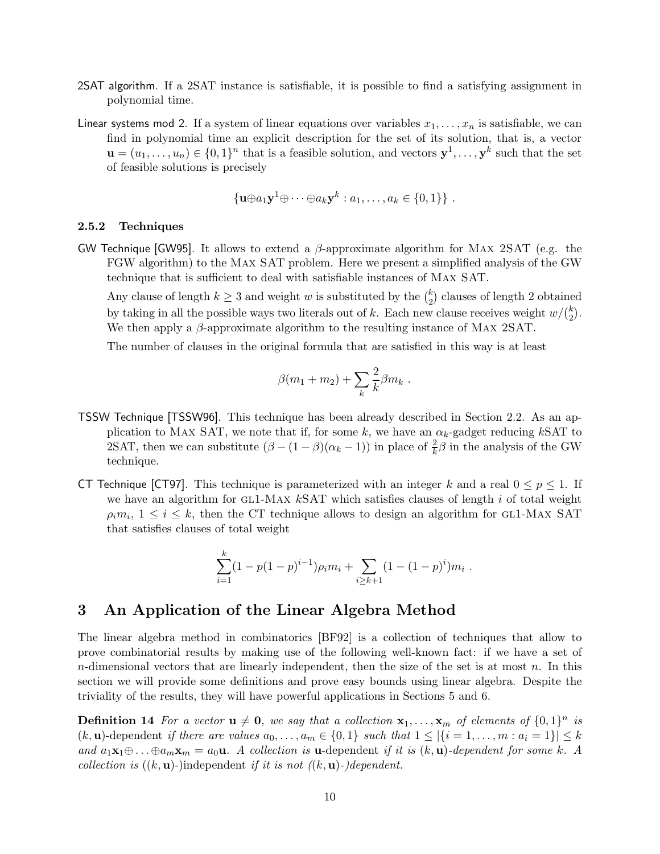- 2SAT algorithm. If a 2SAT instance is satisfiable, it is possible to find a satisfying assignment in polynomial time.
- Linear systems mod 2. If a system of linear equations over variables  $x_1, \ldots, x_n$  is satisfiable, we can find in polynomial time an explicit description for the set of its solution, that is, a vector  $\mathbf{u} = (u_1, \dots, u_n) \in \{0,1\}^n$  that is a feasible solution, and vectors  $\mathbf{y}^1, \dots, \mathbf{y}^k$  such that the set of feasible solutions is precisely

$$
\{\mathbf{u}\oplus a_1\mathbf{y}^1\oplus\cdots\oplus a_k\mathbf{y}^k : a_1,\ldots,a_k\in\{0,1\}\}\ .
$$

#### 2.5.2 Techniques

GW Technique [GW95]. It allows to extend a  $\beta$ -approximate algorithm for MAX 2SAT (e.g. the FGW algorithm) to the Max SAT problem. Here we present a simplified analysis of the GW technique that is sufficient to deal with satisfiable instances of Max SAT.

Any clause of length  $k \geq 3$  and weight w is substituted by the  $\binom{k}{2}$  $_{2}^{k}$ ) clauses of length 2 obtained by taking in all the possible ways two literals out of k. Each new clause receives weight  $w/\binom{k}{2}$  $\binom{k}{2}$ . We then apply a  $\beta$ -approximate algorithm to the resulting instance of MAX 2SAT.

The number of clauses in the original formula that are satisfied in this way is at least

$$
\beta(m_1+m_2)+\sum_k\frac{2}{k}\beta m_k.
$$

- TSSW Technique [TSSW96]. This technique has been already described in Section 2.2. As an application to MAX SAT, we note that if, for some k, we have an  $\alpha_k$ -gadget reducing kSAT to 2SAT, then we can substitute  $(\beta - (1 - \beta)(\alpha_k - 1))$  in place of  $\frac{2}{k}\beta$  in the analysis of the GW technique.
- CT Technique [CT97]. This technique is parameterized with an integer k and a real  $0 \le p \le 1$ . If we have an algorithm for  $GL1-MAX$  kSAT which satisfies clauses of length i of total weight  $\rho_i m_i$ ,  $1 \leq i \leq k$ , then the CT technique allows to design an algorithm for GL1-MAX SAT that satisfies clauses of total weight

$$
\sum_{i=1}^{k} (1 - p(1-p)^{i-1})\rho_i m_i + \sum_{i \ge k+1} (1 - (1-p)^i) m_i.
$$

## 3 An Application of the Linear Algebra Method

The linear algebra method in combinatorics [BF92] is a collection of techniques that allow to prove combinatorial results by making use of the following well-known fact: if we have a set of  $n$ -dimensional vectors that are linearly independent, then the size of the set is at most  $n$ . In this section we will provide some definitions and prove easy bounds using linear algebra. Despite the triviality of the results, they will have powerful applications in Sections 5 and 6.

**Definition 14** For a vector  $\mathbf{u} \neq \mathbf{0}$ , we say that a collection  $\mathbf{x}_1, \ldots, \mathbf{x}_m$  of elements of  $\{0, 1\}^n$  is  $(k, \mathbf{u})$ -dependent if there are values  $a_0, \ldots, a_m \in \{0, 1\}$  such that  $1 \leq |\{i = 1, \ldots, m : a_i = 1\}| \leq k$ and  $a_1\mathbf{x}_1\oplus \ldots \oplus a_m\mathbf{x}_m = a_0\mathbf{u}$ . A collection is **u**-dependent if it is  $(k, \mathbf{u})$ -dependent for some k. A collection is  $((k, \mathbf{u})$ -)independent if it is not  $((k, \mathbf{u})$ -)dependent.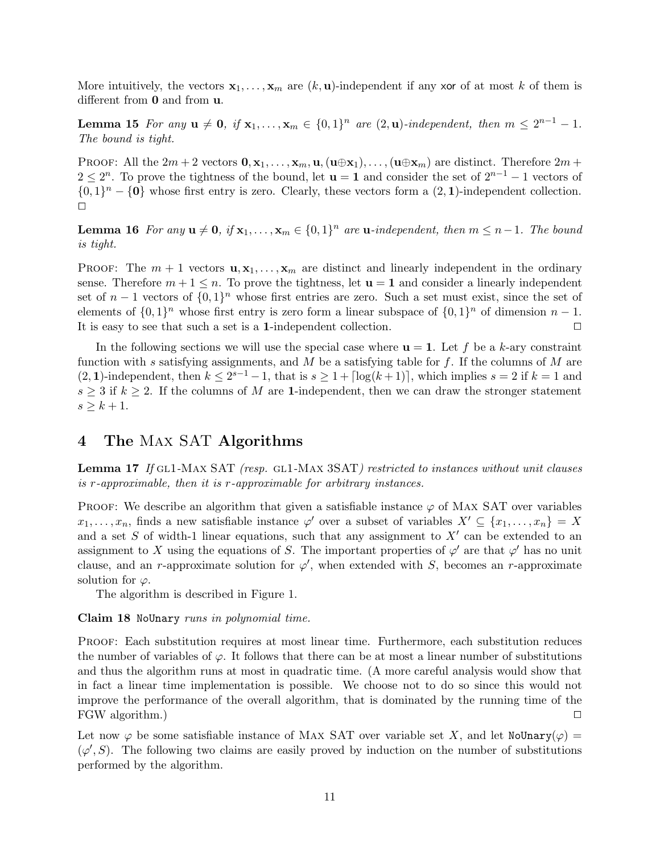More intuitively, the vectors  $\mathbf{x}_1,\ldots,\mathbf{x}_m$  are  $(k,\mathbf{u})$ -independent if any xor of at most k of them is different from  $\mathbf 0$  and from  $\mathbf u$ .

**Lemma 15** For any  $\mathbf{u} \neq \mathbf{0}$ , if  $\mathbf{x}_1, \ldots, \mathbf{x}_m \in \{0,1\}^n$  are  $(2,\mathbf{u})$ -independent, then  $m \leq 2^{n-1} - 1$ . The bound is tight.

PROOF: All the  $2m + 2$  vectors  $\mathbf{0}, \mathbf{x}_1, \ldots, \mathbf{x}_m, \mathbf{u}, (\mathbf{u} \oplus \mathbf{x}_1), \ldots, (\mathbf{u} \oplus \mathbf{x}_m)$  are distinct. Therefore  $2m +$  $2 \leq 2^n$ . To prove the tightness of the bound, let  $\mathbf{u} = \mathbf{1}$  and consider the set of  $2^{n-1} - 1$  vectors of  $\{0,1\}^n - \{0\}$  whose first entry is zero. Clearly, these vectors form a  $(2, 1)$ -independent collection.  $\Box$ 

**Lemma 16** For any  $\mathbf{u} \neq \mathbf{0}$ , if  $\mathbf{x}_1, \ldots, \mathbf{x}_m \in \{0,1\}^n$  are  $\mathbf{u}$ -independent, then  $m \leq n-1$ . The bound is tight.

**PROOF:** The  $m + 1$  vectors  $\mathbf{u}, \mathbf{x}_1, \ldots, \mathbf{x}_m$  are distinct and linearly independent in the ordinary sense. Therefore  $m+1 \leq n$ . To prove the tightness, let  $\mathbf{u} = 1$  and consider a linearly independent set of  $n-1$  vectors of  $\{0,1\}^n$  whose first entries are zero. Such a set must exist, since the set of elements of  $\{0,1\}^n$  whose first entry is zero form a linear subspace of  $\{0,1\}^n$  of dimension  $n-1$ . It is easy to see that such a set is a 1-independent collection.  $\Box$ 

In the following sections we will use the special case where  $\mathbf{u} = 1$ . Let f be a k-ary constraint function with s satisfying assignments, and M be a satisfying table for f. If the columns of M are  $(2, 1)$ -independent, then  $k \leq 2^{s-1} - 1$ , that is  $s \geq 1 + \lceil \log(k+1) \rceil$ , which implies  $s = 2$  if  $k = 1$  and  $s \geq 3$  if  $k \geq 2$ . If the columns of M are 1-independent, then we can draw the stronger statement  $s \geq k+1$ .

## 4 The Max SAT Algorithms

**Lemma 17** If GL1-MAX SAT (resp. GL1-MAX 3SAT) restricted to instances without unit clauses is r-approximable, then it is r-approximable for arbitrary instances.

PROOF: We describe an algorithm that given a satisfiable instance  $\varphi$  of MAX SAT over variables  $x_1, \ldots, x_n$ , finds a new satisfiable instance  $\varphi'$  over a subset of variables  $X' \subseteq \{x_1, \ldots, x_n\} = X$ and a set S of width-1 linear equations, such that any assignment to  $X'$  can be extended to an assignment to X using the equations of S. The important properties of  $\varphi'$  are that  $\varphi'$  has no unit clause, and an r-approximate solution for  $\varphi'$ , when extended with S, becomes an r-approximate solution for  $\varphi$ .

The algorithm is described in Figure 1.

### Claim 18 NoUnary runs in polynomial time.

Proof: Each substitution requires at most linear time. Furthermore, each substitution reduces the number of variables of  $\varphi$ . It follows that there can be at most a linear number of substitutions and thus the algorithm runs at most in quadratic time. (A more careful analysis would show that in fact a linear time implementation is possible. We choose not to do so since this would not improve the performance of the overall algorithm, that is dominated by the running time of the  $\Box$  FGW algorithm.)

Let now  $\varphi$  be some satisfiable instance of MAX SAT over variable set X, and let NoUnary( $\varphi$ ) =  $(\varphi', S)$ . The following two claims are easily proved by induction on the number of substitutions performed by the algorithm.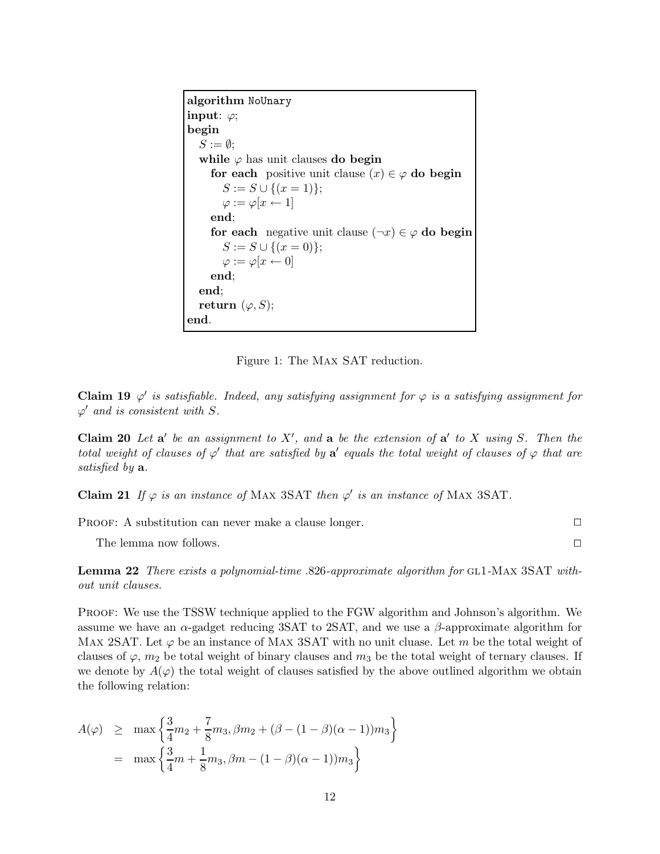algorithm NoUnary input:  $\varphi$ ; begin  $S := \emptyset$ : while  $\varphi$  has unit clauses do begin for each positive unit clause  $(x) \in \varphi$  do begin  $S := S \cup \{(x = 1)\};$  $\varphi := \varphi[x \leftarrow 1]$ end; for each negative unit clause  $(\neg x) \in \varphi$  do begin  $S := S \cup \{(x = 0)\};$  $\varphi := \varphi[x \leftarrow 0]$ end; end; return  $(\varphi, S)$ ; end.

Figure 1: The Max SAT reduction.

**Claim 19**  $\varphi'$  is satisfiable. Indeed, any satisfying assignment for  $\varphi$  is a satisfying assignment for  $\varphi'$  and is consistent with S.

Claim 20 Let  $a'$  be an assignment to X', and a be the extension of  $a'$  to X using S. Then the total weight of clauses of  $\varphi'$  that are satisfied by  $a'$  equals the total weight of clauses of  $\varphi$  that are satisfied by  $a$ .

**Claim 21** If  $\varphi$  is an instance of MAX 3SAT then  $\varphi'$  is an instance of MAX 3SAT.

PROOF: A substitution can never make a clause longer.

The lemma now follows.

Lemma 22 There exists a polynomial-time .826-approximate algorithm for GL1-MAX 3SAT without unit clauses.

PROOF: We use the TSSW technique applied to the FGW algorithm and Johnson's algorithm. We assume we have an  $\alpha$ -gadget reducing 3SAT to 2SAT, and we use a  $\beta$ -approximate algorithm for Max 2SAT. Let  $\varphi$  be an instance of Max 3SAT with no unit cluase. Let m be the total weight of clauses of  $\varphi$ ,  $m_2$  be total weight of binary clauses and  $m_3$  be the total weight of ternary clauses. If we denote by  $A(\varphi)$  the total weight of clauses satisfied by the above outlined algorithm we obtain the following relation:

$$
A(\varphi) \ge \max \left\{ \frac{3}{4}m_2 + \frac{7}{8}m_3, \beta m_2 + (\beta - (1 - \beta)(\alpha - 1))m_3 \right\}
$$
  
=  $\max \left\{ \frac{3}{4}m + \frac{1}{8}m_3, \beta m - (1 - \beta)(\alpha - 1))m_3 \right\}$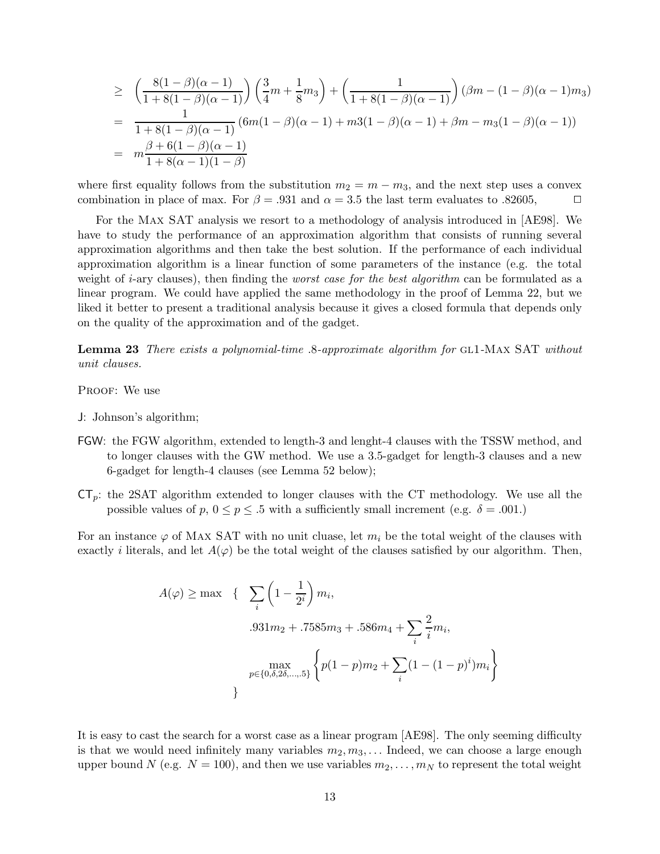$$
\geq \left(\frac{8(1-\beta)(\alpha-1)}{1+8(1-\beta)(\alpha-1)}\right) \left(\frac{3}{4}m+\frac{1}{8}m_3\right) + \left(\frac{1}{1+8(1-\beta)(\alpha-1)}\right) (\beta m - (1-\beta)(\alpha-1)m_3)
$$
  
= 
$$
\frac{1}{1+8(1-\beta)(\alpha-1)} (6m(1-\beta)(\alpha-1) + m3(1-\beta)(\alpha-1) + \beta m - m_3(1-\beta)(\alpha-1))
$$
  
= 
$$
m\frac{\beta+6(1-\beta)(\alpha-1)}{1+8(\alpha-1)(1-\beta)}
$$

where first equality follows from the substitution  $m_2 = m - m_3$ , and the next step uses a convex combination in place of max. For  $\beta = .931$  and  $\alpha = 3.5$  the last term evaluates to .82605,

For the Max SAT analysis we resort to a methodology of analysis introduced in [AE98]. We have to study the performance of an approximation algorithm that consists of running several approximation algorithms and then take the best solution. If the performance of each individual approximation algorithm is a linear function of some parameters of the instance (e.g. the total weight of *i*-ary clauses), then finding the *worst case for the best algorithm* can be formulated as a linear program. We could have applied the same methodology in the proof of Lemma 22, but we liked it better to present a traditional analysis because it gives a closed formula that depends only on the quality of the approximation and of the gadget.

Lemma 23 There exists a polynomial-time .8-approximate algorithm for GL1-MAX SAT without unit clauses.

PROOF: We use

- J: Johnson's algorithm;
- FGW: the FGW algorithm, extended to length-3 and lenght-4 clauses with the TSSW method, and to longer clauses with the GW method. We use a 3.5-gadget for length-3 clauses and a new 6-gadget for length-4 clauses (see Lemma 52 below);
- $CT_p$ : the 2SAT algorithm extended to longer clauses with the CT methodology. We use all the possible values of  $p, 0 \le p \le 0.5$  with a sufficiently small increment (e.g.  $\delta = 0.001$ .)

For an instance  $\varphi$  of MAX SAT with no unit cluase, let  $m_i$  be the total weight of the clauses with exactly *i* literals, and let  $A(\varphi)$  be the total weight of the clauses satisfied by our algorithm. Then,

$$
A(\varphi) \ge \max \left\{ \sum_{i} \left( 1 - \frac{1}{2^{i}} \right) m_{i},
$$
  
.931 $m_2$  + .7585 $m_3$  + .586 $m_4$  +  $\sum_{i} \frac{2}{i} m_{i},$   

$$
\max_{p \in \{0, \delta, 2\delta, \dots, 5\}} \left\{ p(1 - p)m_2 + \sum_{i} (1 - (1 - p)^i)m_i \right\}
$$

It is easy to cast the search for a worst case as a linear program [AE98]. The only seeming difficulty is that we would need infinitely many variables  $m_2, m_3, \ldots$  Indeed, we can choose a large enough upper bound N (e.g.  $N = 100$ ), and then we use variables  $m_2, \ldots, m_N$  to represent the total weight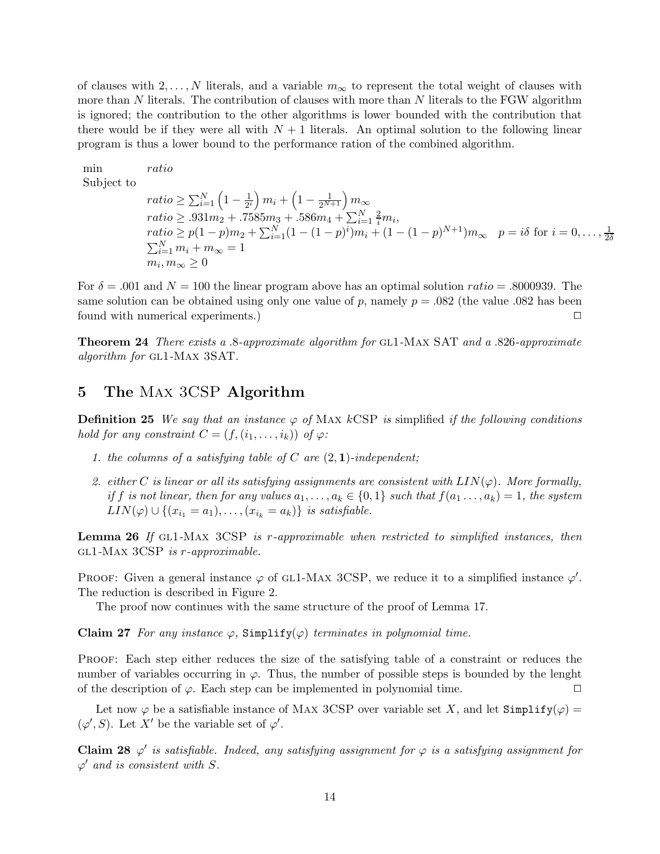of clauses with  $2, \ldots, N$  literals, and a variable  $m_{\infty}$  to represent the total weight of clauses with more than  $N$  literals. The contribution of clauses with more than  $N$  literals to the FGW algorithm is ignored; the contribution to the other algorithms is lower bounded with the contribution that there would be if they were all with  $N+1$  literals. An optimal solution to the following linear program is thus a lower bound to the performance ration of the combined algorithm.

min ratio  
\nSubject to  
\n
$$
ratio \ge \sum_{i=1}^{N} \left(1 - \frac{1}{2^{i}}\right) m_{i} + \left(1 - \frac{1}{2^{N+1}}\right) m_{\infty}
$$
\n
$$
ratio \ge .931 m_{2} + .7585 m_{3} + .586 m_{4} + \sum_{i=1}^{N} \frac{2}{i} m_{i},
$$
\n
$$
ratio \ge p(1-p)m_{2} + \sum_{i=1}^{N} (1 - (1-p)^{i}) m_{i} + (1 - (1-p)^{N+1}) m_{\infty} \quad p = i\delta \text{ for } i = 0, ..., \frac{1}{2\delta}
$$
\n
$$
\sum_{i=1}^{N} m_{i} + m_{\infty} = 1
$$
\n
$$
m_{i}, m_{\infty} \ge 0
$$

For  $\delta = .001$  and  $N = 100$  the linear program above has an optimal solution ratio = .8000939. The same solution can be obtained using only one value of p, namely  $p = .082$  (the value .082 has been found with numerical experiments.) <sup>2</sup>

Theorem 24 There exists a .8-approximate algorithm for gl1-Max SAT and a .826-approximate algorithm for GL1-MAX 3SAT.

## 5 The Max 3CSP Algorithm

**Definition 25** We say that an instance  $\varphi$  of MAX kCSP is simplified if the following conditions hold for any constraint  $C = (f, (i_1, \ldots, i_k))$  of  $\varphi$ :

- 1. the columns of a satisfying table of C are  $(2, 1)$ -independent;
- 2. either C is linear or all its satisfying assignments are consistent with  $LIN(\varphi)$ . More formally, if f is not linear, then for any values  $a_1,\ldots,a_k \in \{0,1\}$  such that  $f(a_1 \ldots,a_k) = 1$ , the system  $LIN(\varphi) \cup \{(x_{i_1}=a_1),\ldots,(x_{i_k}=a_k)\}\$ is satisfiable.

**Lemma 26** If GL1-MAX  $3CSP$  is r-approximable when restricted to simplified instances, then gl1-Max 3CSP is r-approximable.

PROOF: Given a general instance  $\varphi$  of GL1-MAX 3CSP, we reduce it to a simplified instance  $\varphi'$ . The reduction is described in Figure 2.

The proof now continues with the same structure of the proof of Lemma 17.

Claim 27 For any instance  $\varphi$ , Simplify $(\varphi)$  terminates in polynomial time.

Proof: Each step either reduces the size of the satisfying table of a constraint or reduces the number of variables occurring in  $\varphi$ . Thus, the number of possible steps is bounded by the lenght of the description of  $\varphi$ . Each step can be implemented in polynomial time.

Let now  $\varphi$  be a satisfiable instance of MAX 3CSP over variable set X, and let  $Simplify(\varphi) =$  $(\varphi', S)$ . Let X' be the variable set of  $\varphi'$ .

Claim 28  $\varphi'$  is satisfiable. Indeed, any satisfying assignment for  $\varphi$  is a satisfying assignment for  $\varphi'$  and is consistent with S.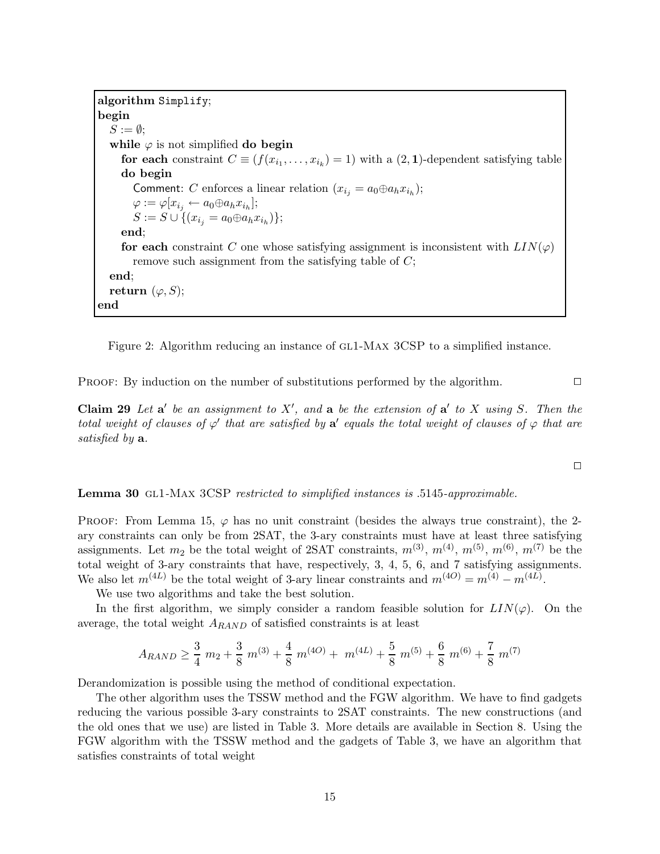algorithm Simplify; begin  $S := \emptyset$ ; while  $\varphi$  is not simplified do begin for each constraint  $C \equiv (f(x_{i_1},...,x_{i_k}) = 1)$  with a  $(2,1)$ -dependent satisfying table do begin Comment: C enforces a linear relation  $(x_{i_j} = a_0 \oplus a_h x_{i_h});$  $\varphi := \varphi[x_{i_j} \leftarrow a_0 \oplus a_h x_{i_h}];$  $S := S \cup \{(x_{i_j} = a_0 \oplus a_h x_{i_h})\};$ end; for each constraint C one whose satisfying assignment is inconsistent with  $LIN(\varphi)$ remove such assignment from the satisfying table of  $C$ ; end; return  $(\varphi, S)$ ; end

Figure 2: Algorithm reducing an instance of GL1-MAX 3CSP to a simplified instance.

PROOF: By induction on the number of substitutions performed by the algorithm.  $\Box$ 

Claim 29 Let  $a'$  be an assignment to X', and a be the extension of  $a'$  to X using S. Then the total weight of clauses of  $\varphi'$  that are satisfied by  $a'$  equals the total weight of clauses of  $\varphi$  that are satisfied by **a**.

 $\Box$ 

Lemma 30 GL1-MAX 3CSP restricted to simplified instances is .5145-approximable.

PROOF: From Lemma 15,  $\varphi$  has no unit constraint (besides the always true constraint), the 2ary constraints can only be from 2SAT, the 3-ary constraints must have at least three satisfying assignments. Let  $m_2$  be the total weight of 2SAT constraints,  $m^{(3)}$ ,  $m^{(4)}$ ,  $m^{(5)}$ ,  $m^{(6)}$ ,  $m^{(7)}$  be the total weight of 3-ary constraints that have, respectively, 3, 4, 5, 6, and 7 satisfying assignments. We also let  $m^{(4L)}$  be the total weight of 3-ary linear constraints and  $m^{(4O)} = m^{(4)} - m^{(4L)}$ .

We use two algorithms and take the best solution.

In the first algorithm, we simply consider a random feasible solution for  $LIN(\varphi)$ . On the average, the total weight  $A_{RAND}$  of satisfied constraints is at least

$$
A_{RAND} \ge \frac{3}{4} m_2 + \frac{3}{8} m^{(3)} + \frac{4}{8} m^{(4O)} + m^{(4L)} + \frac{5}{8} m^{(5)} + \frac{6}{8} m^{(6)} + \frac{7}{8} m^{(7)}
$$

Derandomization is possible using the method of conditional expectation.

The other algorithm uses the TSSW method and the FGW algorithm. We have to find gadgets reducing the various possible 3-ary constraints to 2SAT constraints. The new constructions (and the old ones that we use) are listed in Table 3. More details are available in Section 8. Using the FGW algorithm with the TSSW method and the gadgets of Table 3, we have an algorithm that satisfies constraints of total weight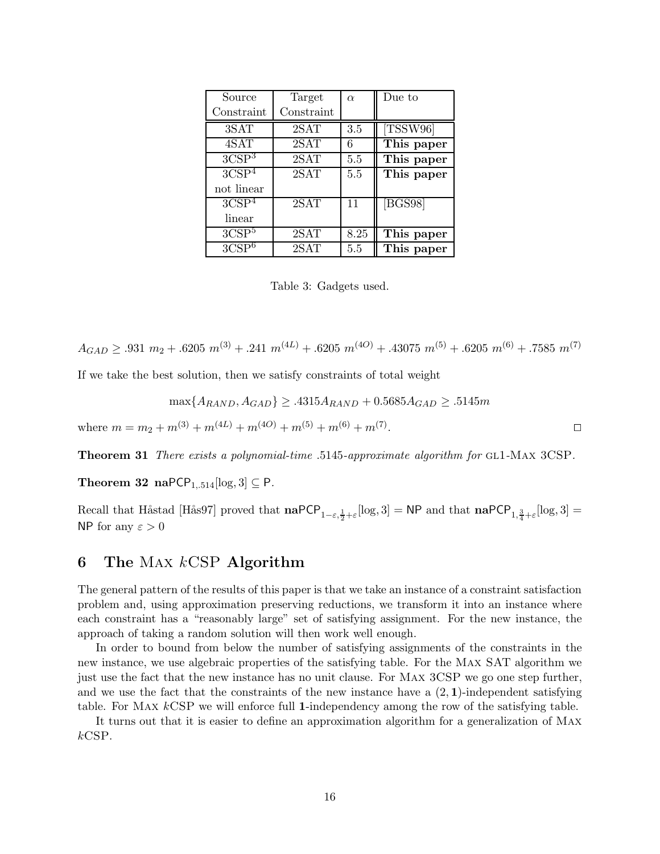| Source              | Target            | $\alpha$ | Due to     |
|---------------------|-------------------|----------|------------|
| Constraint          | Constraint        |          |            |
| 3SAT                | 2SAT              | 3.5      | [TSSW96]   |
| 4SAT                | 2SAT              | 6        | This paper |
| 3CSP <sup>3</sup>   | 2SAT              | 5.5      | This paper |
| 3CSP <sup>4</sup>   | 2SAT              | 5.5      | This paper |
| not linear          |                   |          |            |
| 3CSP <sup>4</sup>   | 2SAT              | 11       | [BGS98]    |
| linear              |                   |          |            |
| 3CSP <sup>5</sup>   | 2SAT              | 8.25     | This paper |
| $3C\overline{SP}^6$ | $\overline{2}SAT$ | 5.5      | This paper |

Table 3: Gadgets used.

$$
A_{GAD} \ge .931 \ m_2 + .6205 \ m^{(3)} + .241 \ m^{(4L)} + .6205 \ m^{(4O)} + .43075 \ m^{(5)} + .6205 \ m^{(6)} + .7585 \ m^{(7)}
$$

If we take the best solution, then we satisfy constraints of total weight

$$
\max\{A_{RAND}, A_{GAD}\} \ge 0.4315A_{RAND} + 0.5685A_{GAD} \ge 0.5145m
$$

where  $m = m_2 + m^{(3)} + m^{(4L)} + m^{(4O)} + m^{(5)} + m^{(6)} + m^{(7)}$ . . The contract of the contract of  $\Box$ 

Theorem 31 There exists a polynomial-time .5145-approximate algorithm for GL1-MAX 3CSP.

Theorem 32 naPCP<sub>1,.514</sub>[log, 3]  $\subseteq$  P.

Recall that Håstad [Hås97] proved that  $\mathbf{naPCP}_{1-\varepsilon,\frac{1}{2}+\varepsilon}[\log,3] = \mathsf{NP}$  and that  $\mathbf{naPCP}_{1,\frac{3}{4}+\varepsilon}[\log,3] =$ NP for any  $\varepsilon > 0$ 

## 6 The MAX  $k$ CSP Algorithm

The general pattern of the results of this paper is that we take an instance of a constraint satisfaction problem and, using approximation preserving reductions, we transform it into an instance where each constraint has a "reasonably large" set of satisfying assignment. For the new instance, the approach of taking a random solution will then work well enough.

In order to bound from below the number of satisfying assignments of the constraints in the new instance, we use algebraic properties of the satisfying table. For the Max SAT algorithm we just use the fact that the new instance has no unit clause. For Max 3CSP we go one step further, and we use the fact that the constraints of the new instance have a  $(2, 1)$ -independent satisfying table. For Max kCSP we will enforce full 1-independency among the row of the satisfying table.

It turns out that it is easier to define an approximation algorithm for a generalization of Max kCSP.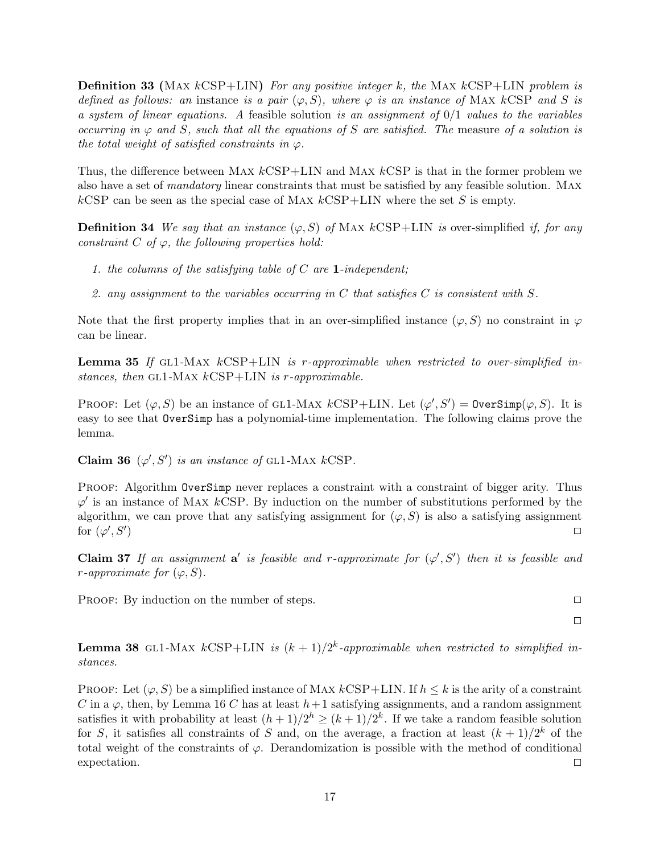**Definition 33** (MAX  $kCSP+LIN$ ) For any positive integer k, the MAX  $kCSP+LIN$  problem is defined as follows: an instance is a pair  $(\varphi, S)$ , where  $\varphi$  is an instance of MAX kCSP and S is a system of linear equations. A feasible solution is an assignment of  $0/1$  values to the variables occurring in  $\varphi$  and S, such that all the equations of S are satisfied. The measure of a solution is the total weight of satisfied constraints in  $\varphi$ .

Thus, the difference between MAX  $kCSP+LIN$  and MAX  $kCSP$  is that in the former problem we also have a set of mandatory linear constraints that must be satisfied by any feasible solution. Max  $kCSP$  can be seen as the special case of MAX  $kCSP+LIN$  where the set S is empty.

**Definition 34** We say that an instance  $(\varphi, S)$  of MAX kCSP+LIN is over-simplified if, for any constraint  $C$  of  $\varphi$ , the following properties hold:

- 1. the columns of the satisfying table of  $C$  are **1**-independent;
- 2. any assignment to the variables occurring in  $C$  that satisfies  $C$  is consistent with  $S$ .

Note that the first property implies that in an over-simplified instance  $(\varphi, S)$  no constraint in  $\varphi$ can be linear.

**Lemma 35** If GL1-MAX  $kCSP+LIN$  is r-approximable when restricted to over-simplified instances, then GL1-MAX  $kCSP+LIN$  is r-approximable.

PROOF: Let  $(\varphi, S)$  be an instance of GL1-MAX  $kCSP+LIN$ . Let  $(\varphi', S') = \text{OverSimp}(\varphi, S)$ . It is easy to see that OverSimp has a polynomial-time implementation. The following claims prove the lemma.

Claim 36  $(\varphi', S')$  is an instance of GL1-MAX kCSP.

PROOF: Algorithm OverSimp never replaces a constraint with a constraint of bigger arity. Thus  $\varphi'$  is an instance of MAX kCSP. By induction on the number of substitutions performed by the algorithm, we can prove that any satisfying assignment for  $(\varphi, S)$  is also a satisfying assignment for  $(\varphi',S')$ ) and the contract of the contract of  $\Box$ 

Claim 37 If an assignment a' is feasible and r-approximate for  $(\varphi', S')$  then it is feasible and r-approximate for  $(\varphi, S)$ .

PROOF: By induction on the number of steps.  $\Box$ 

 $\Box$ 

**Lemma 38** GL1-MAX  $kCSP+LIN$  is  $(k+1)/2^k$ -approximable when restricted to simplified instances.

PROOF: Let  $(\varphi, S)$  be a simplified instance of MAX  $kCSP+LIN$ . If  $h \leq k$  is the arity of a constraint C in a  $\varphi$ , then, by Lemma 16 C has at least  $h+1$  satisfying assignments, and a random assignment satisfies it with probability at least  $(h+1)/2^h \ge (k+1)/2^k$ . If we take a random feasible solution for S, it satisfies all constraints of S and, on the average, a fraction at least  $(k+1)/2^k$  of the total weight of the constraints of  $\varphi$ . Derandomization is possible with the method of conditional expectation.  $\square$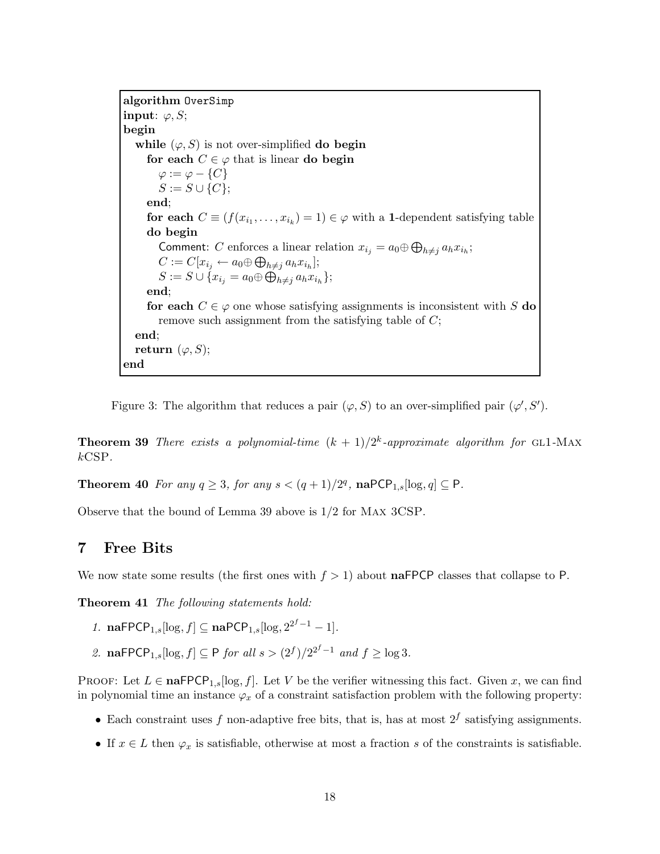algorithm OverSimp input:  $\varphi, S;$ begin while  $(\varphi, S)$  is not over-simplified **do begin** for each  $C \in \varphi$  that is linear do begin  $\varphi := \varphi - \{C\}$  $S := S \cup \{C\}$ ; end; for each  $C \equiv (f(x_{i_1}, \ldots, x_{i_k}) = 1) \in \varphi$  with a 1-dependent satisfying table do begin Comment: C enforces a linear relation  $x_{i_j} = a_0 \oplus \bigoplus_{h \neq j} a_h x_{i_h}$ ;  $C := C[x_{i_j} \leftarrow a_0 \oplus \bigoplus_{h \neq j} a_h x_{i_h}];$  $S := S \cup \{x_{i_j} = a_0 \oplus \bigoplus_{h \neq j} a_h x_{i_h}\};$ end; for each  $C \in \varphi$  one whose satisfying assignments is inconsistent with S do remove such assignment from the satisfying table of  $C$ ; end; return  $(\varphi, S)$ ; end

Figure 3: The algorithm that reduces a pair  $(\varphi, S)$  to an over-simplified pair  $(\varphi', S')$ .

**Theorem 39** There exists a polynomial-time  $(k + 1)/2^k$ -approximate algorithm for GL1-MAX kCSP.

**Theorem 40** For any  $q \ge 3$ , for any  $s < (q+1)/2^q$ ,  $\textbf{naPCP}_{1,s}[\log,q] \subseteq \textbf{P}$ .

Observe that the bound of Lemma 39 above is 1/2 for Max 3CSP.

## 7 Free Bits

We now state some results (the first ones with  $f > 1$ ) about naFPCP classes that collapse to P.

Theorem 41 The following statements hold:

- 1. naFPCP<sub>1,s</sub>[log,  $f$ ]  $\subseteq$  naPCP<sub>1,s</sub>[log,  $2^{2^f-1}-1$ ].
- 2. naFPCP<sub>1,s</sub>[log,  $f$ ]  $\subseteq$  P for all  $s > (2<sup>f</sup>)/2<sup>2<sup>f</sup>-1</sup>$  and  $f \geq \log 3$ .

PROOF: Let  $L \in \textbf{naFPCP}_{1,s}[\log, f]$ . Let V be the verifier witnessing this fact. Given x, we can find in polynomial time an instance  $\varphi_x$  of a constraint satisfaction problem with the following property:

- Each constraint uses f non-adaptive free bits, that is, has at most  $2^f$  satisfying assignments.
- If  $x \in L$  then  $\varphi_x$  is satisfiable, otherwise at most a fraction s of the constraints is satisfiable.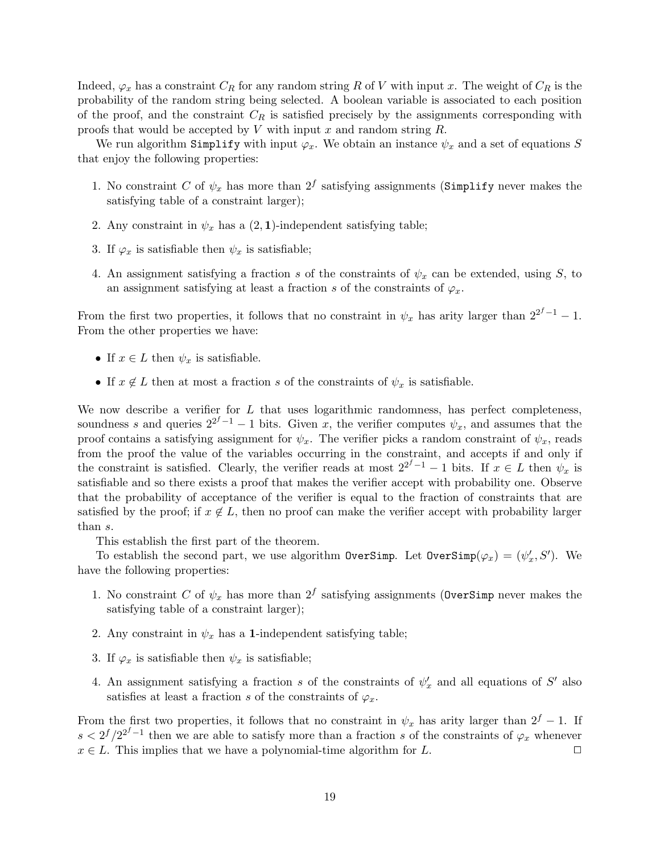Indeed,  $\varphi_x$  has a constraint  $C_R$  for any random string R of V with input x. The weight of  $C_R$  is the probability of the random string being selected. A boolean variable is associated to each position of the proof, and the constraint  $C_R$  is satisfied precisely by the assignments corresponding with proofs that would be accepted by  $V$  with input  $x$  and random string  $R$ .

We run algorithm Simplify with input  $\varphi_x$ . We obtain an instance  $\psi_x$  and a set of equations S that enjoy the following properties:

- 1. No constraint C of  $\psi_x$  has more than  $2^f$  satisfying assignments (Simplify never makes the satisfying table of a constraint larger);
- 2. Any constraint in  $\psi_x$  has a  $(2, 1)$ -independent satisfying table;
- 3. If  $\varphi_x$  is satisfiable then  $\psi_x$  is satisfiable;
- 4. An assignment satisfying a fraction s of the constraints of  $\psi_x$  can be extended, using S, to an assignment satisfying at least a fraction s of the constraints of  $\varphi_x$ .

From the first two properties, it follows that no constraint in  $\psi_x$  has arity larger than  $2^{2^f-1}-1$ . From the other properties we have:

- If  $x \in L$  then  $\psi_x$  is satisfiable.
- If  $x \notin L$  then at most a fraction s of the constraints of  $\psi_x$  is satisfiable.

We now describe a verifier for  $L$  that uses logarithmic randomness, has perfect completeness, soundness s and queries  $2^{2^f-1}-1$  bits. Given x, the verifier computes  $\psi_x$ , and assumes that the proof contains a satisfying assignment for  $\psi_x$ . The verifier picks a random constraint of  $\psi_x$ , reads from the proof the value of the variables occurring in the constraint, and accepts if and only if the constraint is satisfied. Clearly, the verifier reads at most  $2^{2^f-1}-1$  bits. If  $x \in L$  then  $\psi_x$  is satisfiable and so there exists a proof that makes the verifier accept with probability one. Observe that the probability of acceptance of the verifier is equal to the fraction of constraints that are satisfied by the proof; if  $x \notin L$ , then no proof can make the verifier accept with probability larger than s.

This establish the first part of the theorem.

To establish the second part, we use algorithm  $\text{OverSimp}$ . Let  $\text{OverSimp}(\varphi_x) = (\psi'_x, S')$ . We have the following properties:

- 1. No constraint C of  $\psi_x$  has more than  $2^f$  satisfying assignments (OverSimp never makes the satisfying table of a constraint larger);
- 2. Any constraint in  $\psi_x$  has a 1-independent satisfying table;
- 3. If  $\varphi_x$  is satisfiable then  $\psi_x$  is satisfiable;
- 4. An assignment satisfying a fraction s of the constraints of  $\psi'_x$  and all equations of S' also satisfies at least a fraction s of the constraints of  $\varphi_x$ .

From the first two properties, it follows that no constraint in  $\psi_x$  has arity larger than  $2^f - 1$ . If  $s < 2^f/2^{2^f-1}$  then we are able to satisfy more than a fraction s of the constraints of  $\varphi_x$  whenever  $x \in L$ . This implies that we have a polynomial-time algorithm for L.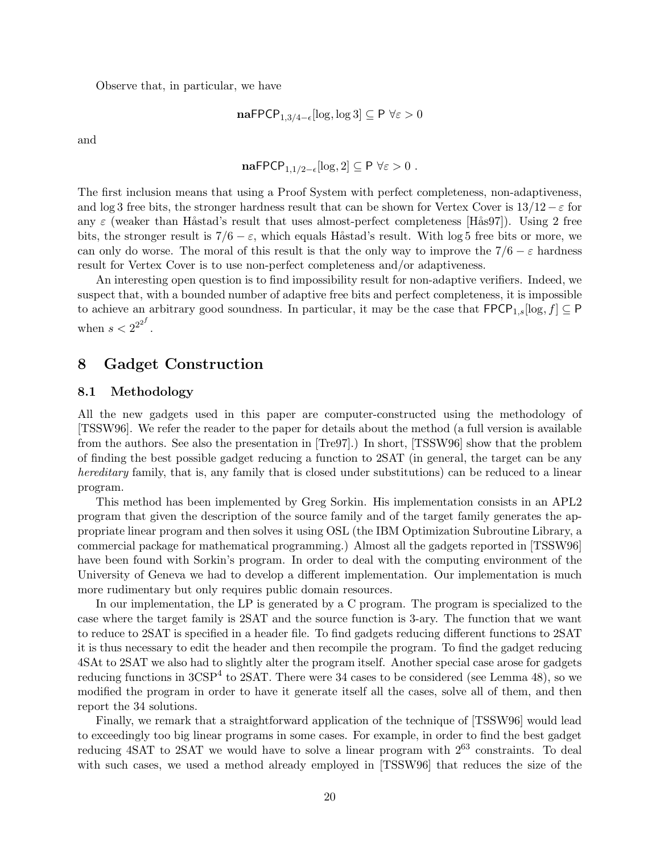Observe that, in particular, we have

$$
\mathbf{naFPCP}_{1,3/4-\epsilon}[\log, \log 3] \subseteq \mathsf{P} \,\,\forall \varepsilon > 0
$$

and

$$
\mathbf{naFPCP}_{1,1/2-\epsilon}[\log,2] \subseteq \mathsf{P} \ \forall \varepsilon > 0 \ .
$$

The first inclusion means that using a Proof System with perfect completeness, non-adaptiveness, and log 3 free bits, the stronger hardness result that can be shown for Vertex Cover is  $13/12 - \varepsilon$  for any  $\varepsilon$  (weaker than Håstad's result that uses almost-perfect completeness [Hås97]). Using 2 free bits, the stronger result is  $7/6 - \varepsilon$ , which equals Håstad's result. With log 5 free bits or more, we can only do worse. The moral of this result is that the only way to improve the  $7/6 - \varepsilon$  hardness result for Vertex Cover is to use non-perfect completeness and/or adaptiveness.

An interesting open question is to find impossibility result for non-adaptive verifiers. Indeed, we suspect that, with a bounded number of adaptive free bits and perfect completeness, it is impossible to achieve an arbitrary good soundness. In particular, it may be the case that  $\mathsf{FPCP}_{1,s}[\log,f] \subseteq \mathsf{P}$ when  $s < 2^{2^{2^f}}$ .

## 8 Gadget Construction

### 8.1 Methodology

All the new gadgets used in this paper are computer-constructed using the methodology of [TSSW96]. We refer the reader to the paper for details about the method (a full version is available from the authors. See also the presentation in [Tre97].) In short, [TSSW96] show that the problem of finding the best possible gadget reducing a function to 2SAT (in general, the target can be any hereditary family, that is, any family that is closed under substitutions) can be reduced to a linear program.

This method has been implemented by Greg Sorkin. His implementation consists in an APL2 program that given the description of the source family and of the target family generates the appropriate linear program and then solves it using OSL (the IBM Optimization Subroutine Library, a commercial package for mathematical programming.) Almost all the gadgets reported in [TSSW96] have been found with Sorkin's program. In order to deal with the computing environment of the University of Geneva we had to develop a different implementation. Our implementation is much more rudimentary but only requires public domain resources.

In our implementation, the LP is generated by a C program. The program is specialized to the case where the target family is 2SAT and the source function is 3-ary. The function that we want to reduce to 2SAT is specified in a header file. To find gadgets reducing different functions to 2SAT it is thus necessary to edit the header and then recompile the program. To find the gadget reducing 4SAt to 2SAT we also had to slightly alter the program itself. Another special case arose for gadgets reducing functions in 3CSP<sup>4</sup> to 2SAT. There were 34 cases to be considered (see Lemma 48), so we modified the program in order to have it generate itself all the cases, solve all of them, and then report the 34 solutions.

Finally, we remark that a straightforward application of the technique of [TSSW96] would lead to exceedingly too big linear programs in some cases. For example, in order to find the best gadget reducing  $4SAT$  to  $2SAT$  we would have to solve a linear program with  $2^{63}$  constraints. To deal with such cases, we used a method already employed in [TSSW96] that reduces the size of the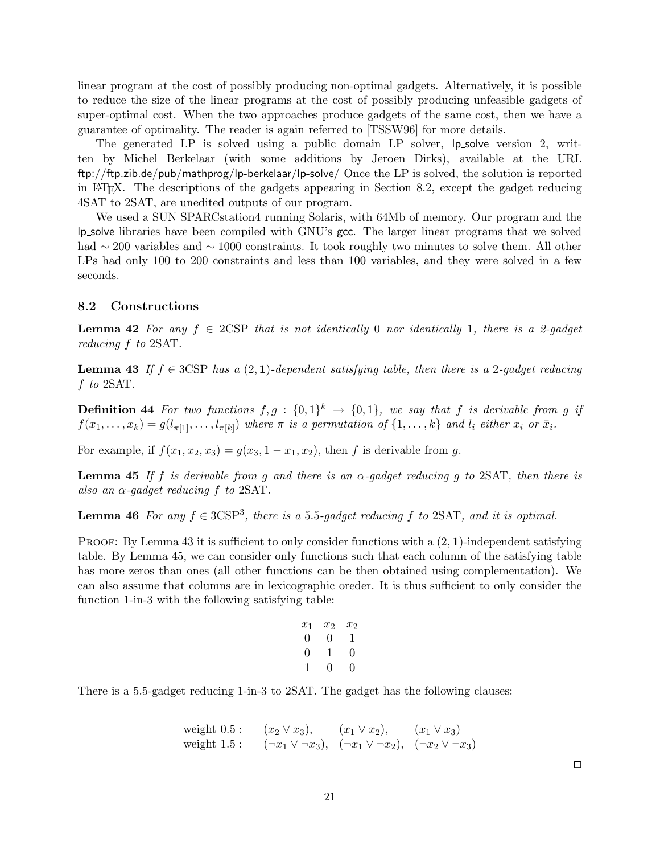linear program at the cost of possibly producing non-optimal gadgets. Alternatively, it is possible to reduce the size of the linear programs at the cost of possibly producing unfeasible gadgets of super-optimal cost. When the two approaches produce gadgets of the same cost, then we have a guarantee of optimality. The reader is again referred to [TSSW96] for more details.

The generated LP is solved using a public domain LP solver, lp solve version 2, written by Michel Berkelaar (with some additions by Jeroen Dirks), available at the URL ftp://ftp.zib.de/pub/mathprog/lp-berkelaar/lp-solve/ Once the LP is solved, the solution is reported in LATEX. The descriptions of the gadgets appearing in Section 8.2, except the gadget reducing 4SAT to 2SAT, are unedited outputs of our program.

We used a SUN SPARCstation4 running Solaris, with 64Mb of memory. Our program and the lp solve libraries have been compiled with GNU's gcc. The larger linear programs that we solved had ∼ 200 variables and ∼ 1000 constraints. It took roughly two minutes to solve them. All other LPs had only 100 to 200 constraints and less than 100 variables, and they were solved in a few seconds.

### 8.2 Constructions

**Lemma 42** For any  $f \in 2CSP$  that is not identically 0 nor identically 1, there is a 2-gadget reducing f to 2SAT.

**Lemma 43** If  $f \in 3CSP$  has a  $(2, 1)$ -dependent satisfying table, then there is a 2-gadget reducing f to 2SAT.

**Definition 44** For two functions  $f, g : \{0, 1\}^k \rightarrow \{0, 1\}$ , we say that f is derivable from g if  $f(x_1,\ldots,x_k) = g(l_{\pi[1]},\ldots,l_{\pi[k]})$  where  $\pi$  is a permutation of  $\{1,\ldots,k\}$  and  $l_i$  either  $x_i$  or  $\bar{x}_i$ .

For example, if  $f(x_1,x_2,x_3) = g(x_3, 1-x_1,x_2)$ , then f is derivable from g.

**Lemma 45** If f is derivable from g and there is an  $\alpha$ -gadget reducing g to 2SAT, then there is also an  $\alpha$ -gadget reducing f to 2SAT.

**Lemma 46** For any  $f \in 3CSP^3$ , there is a 5.5-gadget reducing f to 2SAT, and it is optimal.

**PROOF:** By Lemma 43 it is sufficient to only consider functions with a  $(2, 1)$ -independent satisfying table. By Lemma 45, we can consider only functions such that each column of the satisfying table has more zeros than ones (all other functions can be then obtained using complementation). We can also assume that columns are in lexicographic oreder. It is thus sufficient to only consider the function 1-in-3 with the following satisfying table:

$$
\begin{array}{cccc}\nx_1 & x_2 & x_2 \\
0 & 0 & 1 \\
0 & 1 & 0 \\
1 & 0 & 0\n\end{array}
$$

There is a 5.5-gadget reducing 1-in-3 to 2SAT. The gadget has the following clauses:

weight 0.5 : 
$$
(x_2 \vee x_3),
$$
  $(x_1 \vee x_2),$   $(x_1 \vee x_3)$   
weight 1.5 :  $(\neg x_1 \vee \neg x_3),$   $(\neg x_1 \vee \neg x_2),$   $(\neg x_2 \vee \neg x_3)$ 

 $\Box$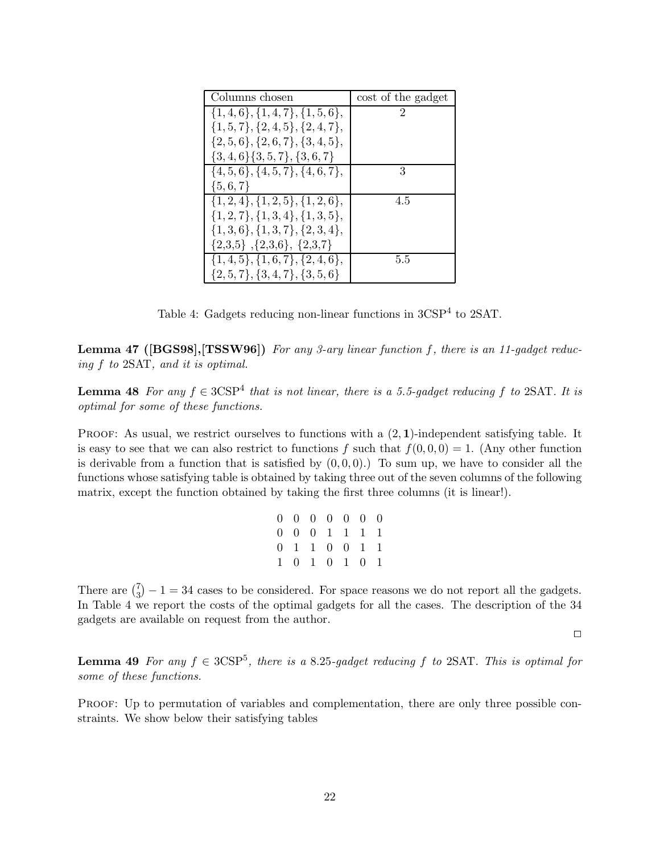| Columns chosen                            | cost of the gadget |
|-------------------------------------------|--------------------|
| $\{1,4,6\}, \{1,4,7\}, \{1,5,6\},\$       | $\mathcal{D}$      |
| $\{1, 5, 7\}, \{2, 4, 5\}, \{2, 4, 7\},\$ |                    |
| $\{2, 5, 6\}, \{2, 6, 7\}, \{3, 4, 5\},\$ |                    |
| $\{3,4,6\}\{3,5,7\},\{3,6,7\}$            |                    |
| $\{4, 5, 6\}, \{4, 5, 7\}, \{4, 6, 7\},\$ | 3                  |
| $\{5,6,7\}$                               |                    |
| $\{1,2,4\}, \{1,2,5\}, \{1,2,6\},\$       | 4.5                |
| $\{1,2,7\}, \{1,3,4\}, \{1,3,5\},\$       |                    |
| $\{1,3,6\}, \{1,3,7\}, \{2,3,4\},$        |                    |
| $\{2,3,5\}$ , $\{2,3,6\}$ , $\{2,3,7\}$   |                    |
| $\{1,4,5\}, \{1,6,7\}, \{2,4,6\},\$       | 5.5                |
| $\{2,5,7\}, \{3,4,7\}, \{3,5,6\}$         |                    |

Table 4: Gadgets reducing non-linear functions in  $3CSP<sup>4</sup>$  to  $2SAT$ .

Lemma 47 ([BGS98],[TSSW96]) For any 3-ary linear function f, there is an 11-gadget reducing f to 2SAT, and it is optimal.

**Lemma 48** For any  $f \in 3CSP<sup>4</sup>$  that is not linear, there is a 5.5-gadget reducing f to 2SAT. It is optimal for some of these functions.

PROOF: As usual, we restrict ourselves to functions with a  $(2, 1)$ -independent satisfying table. It is easy to see that we can also restrict to functions f such that  $f(0, 0, 0) = 1$ . (Any other function is derivable from a function that is satisfied by  $(0, 0, 0)$ .) To sum up, we have to consider all the functions whose satisfying table is obtained by taking three out of the seven columns of the following matrix, except the function obtained by taking the first three columns (it is linear!).

| $0 \t0 \t0 \t0 \t0 \t0 \t0$ |  |  |  |
|-----------------------------|--|--|--|
| 0 0 0 1 1 1 1               |  |  |  |
| 0 1 1 0 0 1 1               |  |  |  |
| 1 0 1 0 1 0 1               |  |  |  |

There are  $\binom{7}{3}$  $\binom{1}{3} - 1 = 34$  cases to be considered. For space reasons we do not report all the gadgets. In Table 4 we report the costs of the optimal gadgets for all the cases. The description of the 34 gadgets are available on request from the author.

 $\Box$ 

**Lemma 49** For any  $f \in 3CSP^5$ , there is a 8.25-gadget reducing f to 2SAT. This is optimal for some of these functions.

PROOF: Up to permutation of variables and complementation, there are only three possible constraints. We show below their satisfying tables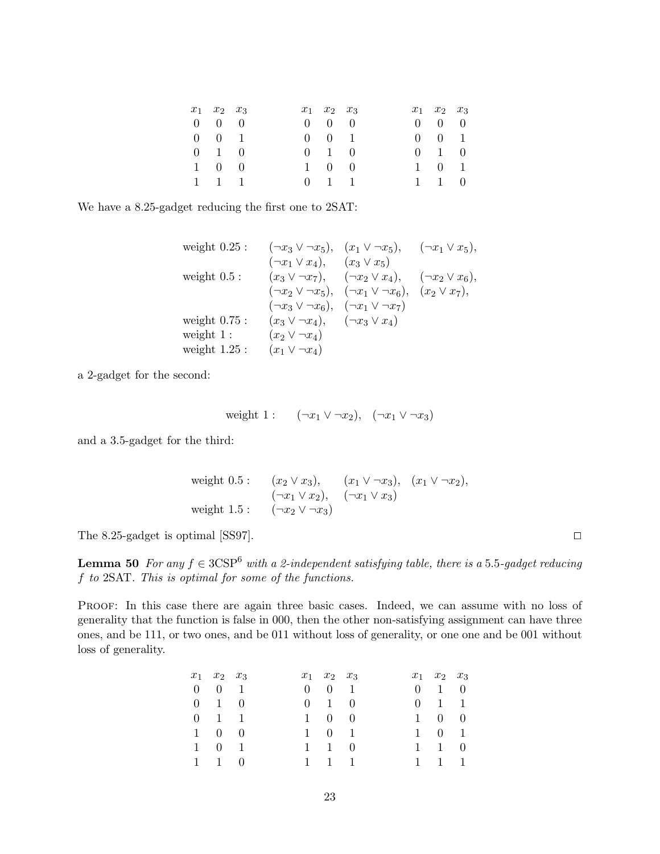| $x_1$ $x_2$ $x_3$   |  | $x_1$ $x_2$ $x_3$   |  | $x_1$ $x_2$ $x_3$   |  |
|---------------------|--|---------------------|--|---------------------|--|
| $0 \quad 0 \quad 0$ |  | $0 \quad 0 \quad 0$ |  | $0 \quad 0 \quad 0$ |  |
| $0 \t 0 \t 1$       |  | $0 \t 0 \t 1$       |  | $0 \t 0 \t 1$       |  |
| $0 \t1 \t0$         |  | $0 \t1 \t0$         |  | $0 \t1 \t0$         |  |
| $1 \quad 0 \quad 0$ |  | $1 \quad 0 \quad 0$ |  | $1 \t 0 \t 1$       |  |
| $1 \quad 1 \quad 1$ |  | $0 \t1 \t1$         |  | $1 \quad 1 \quad 0$ |  |

We have a 8.25-gadget reducing the first one to 2SAT:

weight 0.25 : 
$$
(\neg x_3 \lor \neg x_5), (x_1 \lor \neg x_5), (\neg x_1 \lor x_5),
$$
  
\n $(\neg x_1 \lor x_4), (x_3 \lor x_5)$   
\nweight 0.5 :  $(x_3 \lor \neg x_7), (\neg x_2 \lor x_4), (\neg x_2 \lor x_6),$   
\n $(\neg x_2 \lor \neg x_5), (\neg x_1 \lor \neg x_6), (x_2 \lor x_7),$   
\n $(\neg x_3 \lor \neg x_6), (\neg x_1 \lor \neg x_7)$   
\nweight 0.75 :  $(x_3 \lor \neg x_4), (\neg x_3 \lor x_4)$   
\nweight 1 :  $(x_2 \lor \neg x_4)$   
\nweight 1.25 :  $(x_1 \lor \neg x_4)$ 

a 2-gadget for the second:

$$
weight 1: \quad (\neg x_1 \lor \neg x_2), \quad (\neg x_1 \lor \neg x_3)
$$

and a 3.5-gadget for the third:

weight 0.5 : 
$$
(x_2 \vee x_3)
$$
,  $(x_1 \vee \neg x_3)$ ,  $(x_1 \vee \neg x_2)$ ,  
\n $(\neg x_1 \vee x_2)$ ,  $(\neg x_1 \vee x_3)$   
\nweight 1.5 :  $(\neg x_2 \vee \neg x_3)$ 

The 8.25-gadget is optimal [SS97].  $\Box$ 

**Lemma 50** For any  $f \in 3CSP^6$  with a 2-independent satisfying table, there is a 5.5-gadget reducing f to 2SAT. This is optimal for some of the functions.

Proof: In this case there are again three basic cases. Indeed, we can assume with no loss of generality that the function is false in 000, then the other non-satisfying assignment can have three ones, and be 111, or two ones, and be 011 without loss of generality, or one one and be 001 without loss of generality.

| $x_1$ $x_2$ $x_3$   |  | $x_1$ $x_2$ $x_3$   |  | $x_1$ $x_2$ $x_3$   |  |
|---------------------|--|---------------------|--|---------------------|--|
| $0 \t 0 \t 1$       |  | $0 \t 0 \t 1$       |  | $0 \t1 \t0$         |  |
| $0 \t1 \t0$         |  | $0 \t1 \t0$         |  | $0 \t1 \t1$         |  |
| $0 \t1 \t1$         |  | $1 \quad 0 \quad 0$ |  | $1 \quad 0 \quad 0$ |  |
| $1 \quad 0 \quad 0$ |  | $1 \t 0 \t 1$       |  | $1 \t 0 \t 1$       |  |
| $1 \t 0 \t 1$       |  | $1 \quad 1 \quad 0$ |  | $1 \quad 1 \quad 0$ |  |
| $1 \quad 1 \quad 0$ |  | $1 \quad 1 \quad 1$ |  | $1 \quad 1 \quad 1$ |  |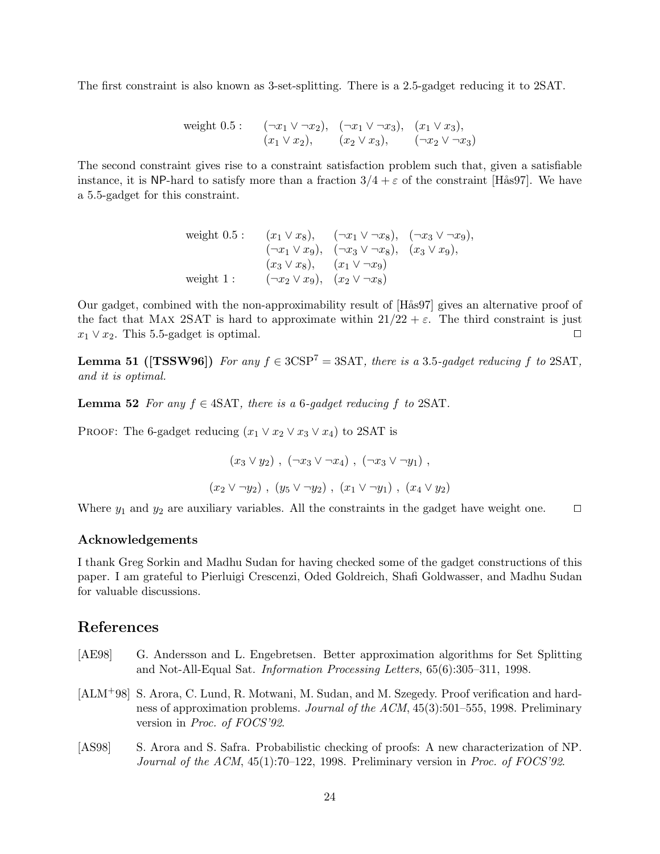The first constraint is also known as 3-set-splitting. There is a 2.5-gadget reducing it to 2SAT.

weight 0.5 : 
$$
(\neg x_1 \lor \neg x_2), (\neg x_1 \lor \neg x_3), (x_1 \lor x_3),
$$
  
\n $(x_1 \lor x_2), (x_2 \lor x_3), (\neg x_2 \lor \neg x_3)$ 

The second constraint gives rise to a constraint satisfaction problem such that, given a satisfiable instance, it is NP-hard to satisfy more than a fraction  $3/4 + \varepsilon$  of the constraint [Hås97]. We have a 5.5-gadget for this constraint.

weight 0.5 : 
$$
(x_1 \vee x_8), \quad (\neg x_1 \vee \neg x_8), \quad (\neg x_3 \vee \neg x_9),
$$
  
\n $(\neg x_1 \vee x_9), \quad (\neg x_3 \vee \neg x_8), \quad (x_3 \vee x_9),$   
\n $(x_3 \vee x_8), \quad (x_1 \vee \neg x_9)$   
\nweight 1 :  $(\neg x_2 \vee x_9), \quad (x_2 \vee \neg x_8)$ 

Our gadget, combined with the non-approximability result of [Hås97] gives an alternative proof of the fact that MAX 2SAT is hard to approximate within  $21/22 + \varepsilon$ . The third constraint is just  $x_1 \vee x_2$ . This 5.5-gadget is optimal.

**Lemma 51 ([TSSW96])** For any  $f \in 3CSP^7 = 3SAT$ , there is a 3.5-gadget reducing f to 2SAT, and it is optimal.

**Lemma 52** For any  $f \in 4SAT$ , there is a 6-gadget reducing f to 2SAT.

PROOF: The 6-gadget reducing  $(x_1 \vee x_2 \vee x_3 \vee x_4)$  to 2SAT is

$$
(x_3 \lor y_2), (\neg x_3 \lor \neg x_4), (\neg x_3 \lor \neg y_1),
$$
  
 $(x_2 \lor \neg y_2), (y_5 \lor \neg y_2), (x_1 \lor \neg y_1), (x_4 \lor y_2)$ 

Where  $y_1$  and  $y_2$  are auxiliary variables. All the constraints in the gadget have weight one.  $\Box$ 

### Acknowledgements

I thank Greg Sorkin and Madhu Sudan for having checked some of the gadget constructions of this paper. I am grateful to Pierluigi Crescenzi, Oded Goldreich, Shafi Goldwasser, and Madhu Sudan for valuable discussions.

## References

- [AE98] G. Andersson and L. Engebretsen. Better approximation algorithms for Set Splitting and Not-All-Equal Sat. Information Processing Letters, 65(6):305–311, 1998.
- [ALM+98] S. Arora, C. Lund, R. Motwani, M. Sudan, and M. Szegedy. Proof verification and hardness of approximation problems. Journal of the ACM, 45(3):501–555, 1998. Preliminary version in Proc. of FOCS'92.
- [AS98] S. Arora and S. Safra. Probabilistic checking of proofs: A new characterization of NP. Journal of the ACM,  $45(1)$ :70–122, 1998. Preliminary version in Proc. of FOCS'92.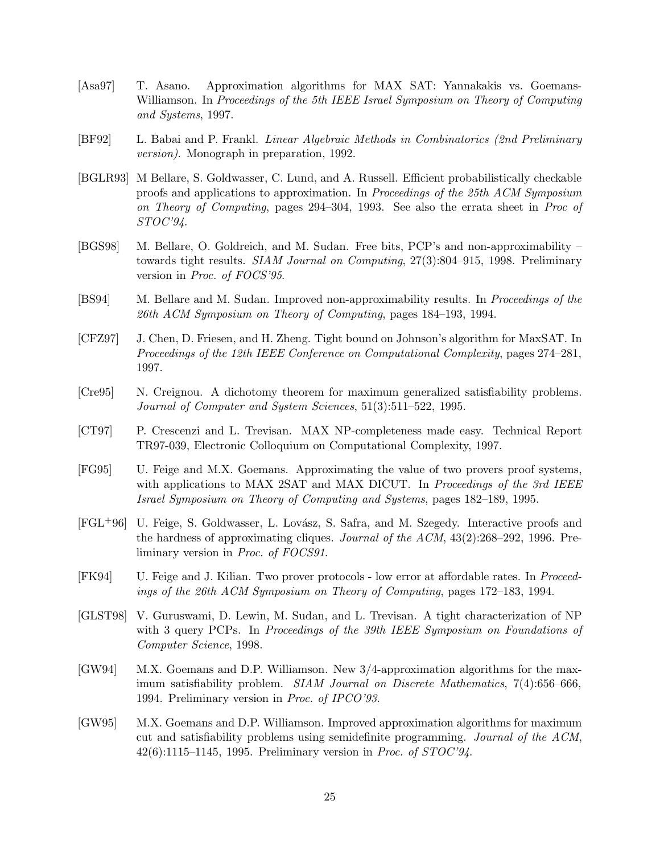- [Asa97] T. Asano. Approximation algorithms for MAX SAT: Yannakakis vs. Goemans-Williamson. In Proceedings of the 5th IEEE Israel Symposium on Theory of Computing and Systems, 1997.
- [BF92] L. Babai and P. Frankl. Linear Algebraic Methods in Combinatorics (2nd Preliminary version). Monograph in preparation, 1992.
- [BGLR93] M Bellare, S. Goldwasser, C. Lund, and A. Russell. Efficient probabilistically checkable proofs and applications to approximation. In Proceedings of the 25th ACM Symposium on Theory of Computing, pages 294–304, 1993. See also the errata sheet in Proc of  $STOC'94$ .
- [BGS98] M. Bellare, O. Goldreich, and M. Sudan. Free bits, PCP's and non-approximability towards tight results. SIAM Journal on Computing, 27(3):804–915, 1998. Preliminary version in Proc. of FOCS'95.
- [BS94] M. Bellare and M. Sudan. Improved non-approximability results. In Proceedings of the 26th ACM Symposium on Theory of Computing, pages 184–193, 1994.
- [CFZ97] J. Chen, D. Friesen, and H. Zheng. Tight bound on Johnson's algorithm for MaxSAT. In Proceedings of the 12th IEEE Conference on Computational Complexity, pages 274–281, 1997.
- [Cre95] N. Creignou. A dichotomy theorem for maximum generalized satisfiability problems. Journal of Computer and System Sciences, 51(3):511–522, 1995.
- [CT97] P. Crescenzi and L. Trevisan. MAX NP-completeness made easy. Technical Report TR97-039, Electronic Colloquium on Computational Complexity, 1997.
- [FG95] U. Feige and M.X. Goemans. Approximating the value of two provers proof systems, with applications to MAX 2SAT and MAX DICUT. In *Proceedings of the 3rd IEEE* Israel Symposium on Theory of Computing and Systems, pages 182–189, 1995.
- [FGL<sup>+</sup>96] U. Feige, S. Goldwasser, L. Lovász, S. Safra, and M. Szegedy. Interactive proofs and the hardness of approximating cliques. Journal of the ACM, 43(2):268–292, 1996. Preliminary version in Proc. of FOCS91.
- [FK94] U. Feige and J. Kilian. Two prover protocols low error at affordable rates. In Proceedings of the 26th ACM Symposium on Theory of Computing, pages 172–183, 1994.
- [GLST98] V. Guruswami, D. Lewin, M. Sudan, and L. Trevisan. A tight characterization of NP with 3 query PCPs. In *Proceedings of the 39th IEEE Symposium on Foundations of* Computer Science, 1998.
- [GW94] M.X. Goemans and D.P. Williamson. New 3/4-approximation algorithms for the maximum satisfiability problem. SIAM Journal on Discrete Mathematics, 7(4):656–666, 1994. Preliminary version in Proc. of IPCO'93.
- [GW95] M.X. Goemans and D.P. Williamson. Improved approximation algorithms for maximum cut and satisfiability problems using semidefinite programming. Journal of the ACM,  $42(6):1115-1145$ , 1995. Preliminary version in *Proc. of STOC*'94.